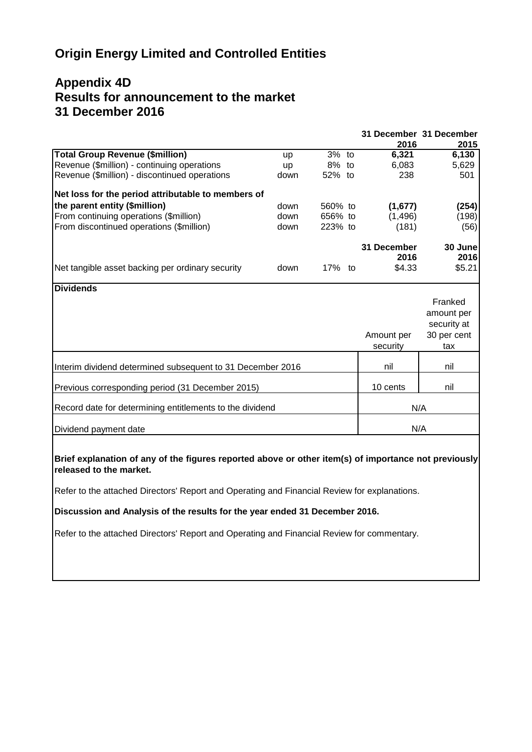# **Origin Energy Limited and Controlled Entities**

# **Appendix 4D Results for announcement to the market 31 December 2016**

|                                                            |           |         |             | 31 December 31 December |
|------------------------------------------------------------|-----------|---------|-------------|-------------------------|
|                                                            |           |         | 2016        | 2015                    |
| Total Group Revenue (\$million)                            | <b>up</b> | $3%$ to | 6,321       | 6,130                   |
| Revenue (\$million) - continuing operations                | <b>up</b> | 8% to   | 6,083       | 5,629                   |
| Revenue (\$million) - discontinued operations              | down      | 52% to  | 238         | 501                     |
| Net loss for the period attributable to members of         |           |         |             |                         |
| the parent entity (\$million)                              | down      | 560% to | (1,677)     | (254)                   |
| From continuing operations (\$million)                     | down      | 656% to | (1, 496)    | (198)                   |
| From discontinued operations (\$million)                   | down      | 223% to | (181)       | (56)                    |
|                                                            |           |         | 31 December | 30 June                 |
|                                                            |           |         | 2016        | 2016                    |
| Net tangible asset backing per ordinary security           | down      | 17% to  | \$4.33      | \$5.21                  |
| <b>Dividends</b>                                           |           |         |             |                         |
|                                                            |           |         |             | Franked                 |
|                                                            |           |         |             | amount per              |
|                                                            |           |         |             | security at             |
|                                                            |           |         | Amount per  | 30 per cent             |
|                                                            |           |         | security    | tax                     |
|                                                            |           |         |             |                         |
| Interim dividend determined subsequent to 31 December 2016 |           |         | nil         | nil                     |
| Previous corresponding period (31 December 2015)           |           |         | 10 cents    | nil                     |
|                                                            |           |         |             |                         |
| Record date for determining entitlements to the dividend   |           |         |             | N/A                     |
| Dividend payment date                                      |           |         |             | N/A                     |

**Brief explanation of any of the figures reported above or other item(s) of importance not previously released to the market.**

Refer to the attached Directors' Report and Operating and Financial Review for explanations.

**Discussion and Analysis of the results for the year ended 31 December 2016.**

Refer to the attached Directors' Report and Operating and Financial Review for commentary.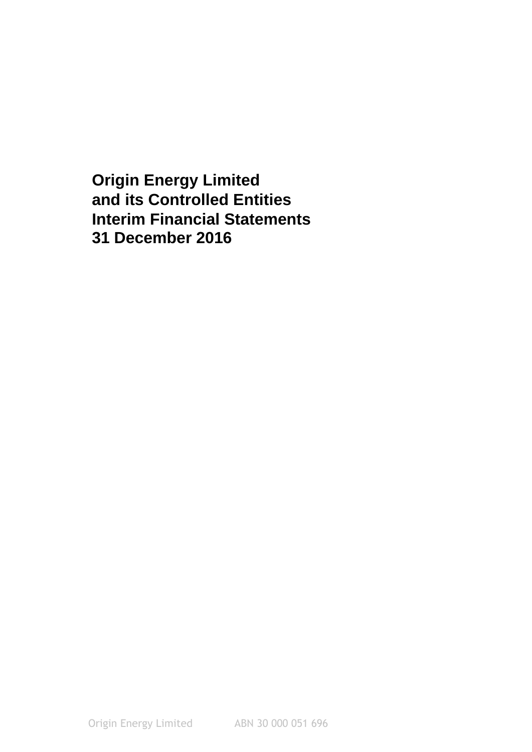**Interim Financial Statements 31 December 2016 Origin Energy Limited and its Controlled Entities**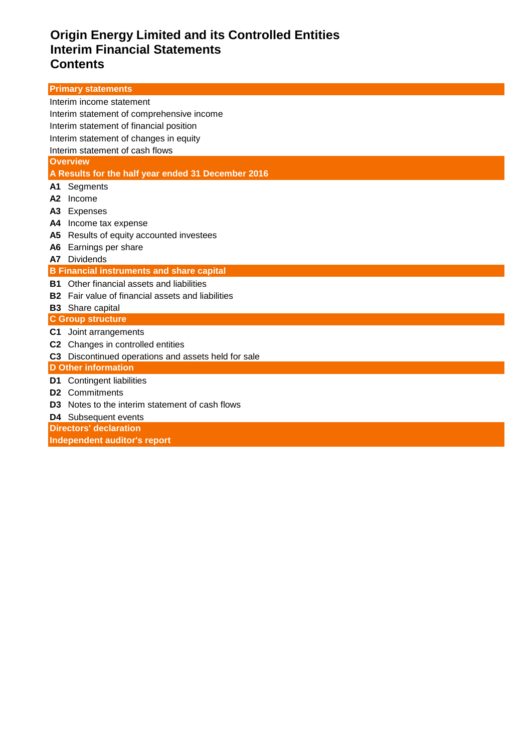# **Origin Energy Limited and its Controlled Entities Interim Financial Statements Contents**

| <b>Primary statements</b>                                          |
|--------------------------------------------------------------------|
| Interim income statement                                           |
| Interim statement of comprehensive income                          |
| Interim statement of financial position                            |
| Interim statement of changes in equity                             |
| Interim statement of cash flows                                    |
| <b>Overview</b>                                                    |
| A Results for the half year ended 31 December 2016                 |
| Segments<br>A1                                                     |
| Income<br>A2                                                       |
| А3<br>Expenses                                                     |
| Income tax expense<br>A4                                           |
| Results of equity accounted investees<br>А5                        |
| Earnings per share<br>A6                                           |
| <b>Dividends</b><br>A7                                             |
| <b>B Financial instruments and share capital</b>                   |
| <b>B1</b> Other financial assets and liabilities                   |
| Fair value of financial assets and liabilities<br>Β2               |
| <b>B3</b> Share capital                                            |
| <b>C Group structure</b>                                           |
| Joint arrangements<br>C1                                           |
| Changes in controlled entities<br>C <sub>2</sub>                   |
| Discontinued operations and assets held for sale<br>C <sub>3</sub> |
| <b>D</b> Other information                                         |
| <b>Contingent liabilities</b><br>D1                                |
| Commitments<br>D <sub>2</sub>                                      |
| Notes to the interim statement of cash flows<br>D3                 |
| <b>D4</b> Subsequent events                                        |
| <b>Directors' declaration</b>                                      |
| Independent auditor's report                                       |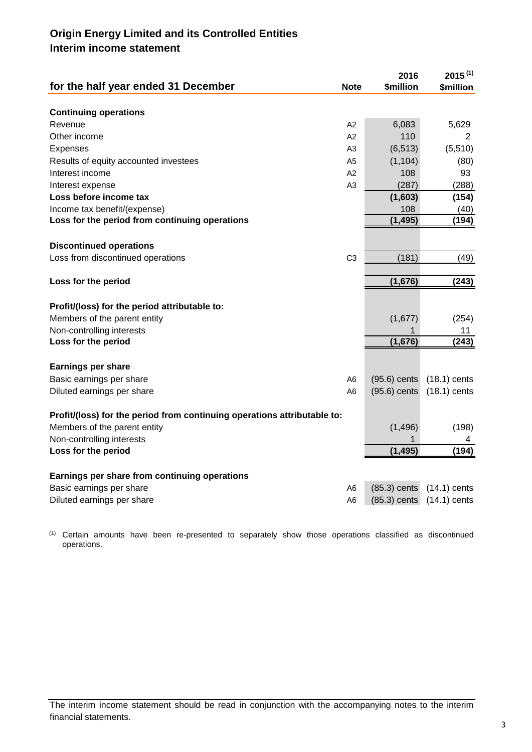# **Origin Energy Limited and its Controlled Entities Interim income statement**

| for the half year ended 31 December                                      | <b>Note</b>    | 2016<br><b>\$million</b> | $2015^{(1)}$<br><b>\$million</b> |
|--------------------------------------------------------------------------|----------------|--------------------------|----------------------------------|
|                                                                          |                |                          |                                  |
| <b>Continuing operations</b>                                             |                |                          |                                  |
| Revenue                                                                  | A2             | 6,083                    | 5,629                            |
| Other income                                                             | A2             | 110                      | 2                                |
| <b>Expenses</b>                                                          | A3             | (6, 513)                 | (5,510)                          |
| Results of equity accounted investees                                    | A <sub>5</sub> | (1, 104)                 | (80)                             |
| Interest income                                                          | A2             | 108                      | 93                               |
| Interest expense                                                         | A <sub>3</sub> | (287)                    | (288)                            |
| Loss before income tax                                                   |                | (1,603)                  | (154)                            |
| Income tax benefit/(expense)                                             |                | 108                      | (40)                             |
| Loss for the period from continuing operations                           |                | (1, 495)                 | (194)                            |
|                                                                          |                |                          |                                  |
| <b>Discontinued operations</b>                                           |                |                          |                                  |
| Loss from discontinued operations                                        | C <sub>3</sub> | (181)                    | (49)                             |
| Loss for the period                                                      |                | (1,676)                  | (243)                            |
|                                                                          |                |                          |                                  |
| Profit/(loss) for the period attributable to:                            |                |                          |                                  |
| Members of the parent entity                                             |                | (1,677)                  | (254)                            |
| Non-controlling interests                                                |                | 1                        | 11                               |
| Loss for the period                                                      |                | (1,676)                  | (243)                            |
|                                                                          |                |                          |                                  |
| <b>Earnings per share</b>                                                |                |                          |                                  |
| Basic earnings per share                                                 | A6             | $(95.6)$ cents           | $(18.1)$ cents                   |
| Diluted earnings per share                                               | A6             | $(95.6)$ cents           | $(18.1)$ cents                   |
|                                                                          |                |                          |                                  |
| Profit/(loss) for the period from continuing operations attributable to: |                |                          |                                  |
| Members of the parent entity                                             |                | (1, 496)                 | (198)                            |
| Non-controlling interests                                                |                | 1                        | 4                                |
| Loss for the period                                                      |                | (1, 495)                 | (194)                            |
|                                                                          |                |                          |                                  |
| Earnings per share from continuing operations                            |                |                          |                                  |
| Basic earnings per share                                                 | A6             | $(85.3)$ cents           | $(14.1)$ cents                   |
| Diluted earnings per share                                               | A6             | $(85.3)$ cents           | $(14.1)$ cents                   |

(1) Certain amounts have been re-presented to separately show those operations classified as discontinued operations.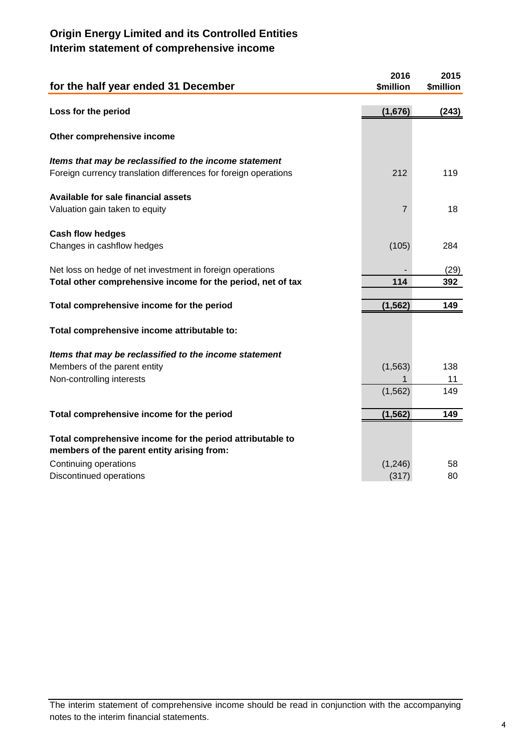# **Origin Energy Limited and its Controlled Entities Interim statement of comprehensive income**

| for the half year ended 31 December                                                                     | 2016<br>\$million | 2015<br>\$million |
|---------------------------------------------------------------------------------------------------------|-------------------|-------------------|
| Loss for the period                                                                                     | (1,676)           | (243)             |
| Other comprehensive income                                                                              |                   |                   |
| Items that may be reclassified to the income statement                                                  |                   |                   |
| Foreign currency translation differences for foreign operations                                         | 212               | 119               |
| Available for sale financial assets                                                                     |                   |                   |
| Valuation gain taken to equity                                                                          | 7                 | 18                |
| <b>Cash flow hedges</b>                                                                                 |                   |                   |
| Changes in cashflow hedges                                                                              | (105)             | 284               |
| Net loss on hedge of net investment in foreign operations                                               |                   | (29)              |
| Total other comprehensive income for the period, net of tax                                             | 114               | 392               |
| Total comprehensive income for the period                                                               | (1, 562)          | 149               |
| Total comprehensive income attributable to:                                                             |                   |                   |
| Items that may be reclassified to the income statement                                                  |                   |                   |
| Members of the parent entity                                                                            | (1, 563)          | 138               |
| Non-controlling interests                                                                               | (1, 562)          | 11<br>149         |
|                                                                                                         |                   |                   |
| Total comprehensive income for the period                                                               | (1, 562)          | 149               |
| Total comprehensive income for the period attributable to<br>members of the parent entity arising from: |                   |                   |
| Continuing operations                                                                                   | (1,246)           | 58                |
| Discontinued operations                                                                                 | (317)             | 80                |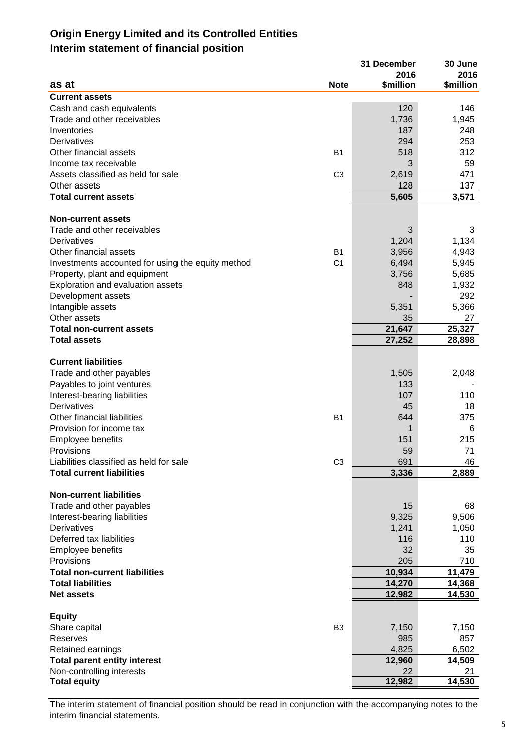# **Origin Energy Limited and its Controlled Entities Interim statement of financial position**

|                                                   |                | 31 December  | 30 June          |
|---------------------------------------------------|----------------|--------------|------------------|
|                                                   |                | 2016         | 2016             |
| as at                                             | <b>Note</b>    | \$million    | <b>\$million</b> |
| <b>Current assets</b>                             |                |              |                  |
| Cash and cash equivalents                         |                | 120          | 146              |
| Trade and other receivables                       |                | 1,736        | 1,945            |
| Inventories                                       |                | 187          | 248              |
| Derivatives                                       |                | 294          | 253              |
| Other financial assets                            | B1             | 518          | 312              |
| Income tax receivable                             |                | 3            | 59               |
| Assets classified as held for sale                | C <sub>3</sub> | 2,619        | 471              |
| Other assets                                      |                | 128          | 137              |
| <b>Total current assets</b>                       |                | 5,605        | 3,571            |
|                                                   |                |              |                  |
| <b>Non-current assets</b>                         |                |              |                  |
| Trade and other receivables                       |                | 3            | 3                |
| <b>Derivatives</b>                                |                | 1,204        | 1,134            |
| Other financial assets                            | <b>B1</b>      | 3,956        | 4,943            |
| Investments accounted for using the equity method | C <sub>1</sub> | 6,494        | 5,945            |
| Property, plant and equipment                     |                | 3,756        | 5,685            |
| Exploration and evaluation assets                 |                | 848          | 1,932            |
| Development assets                                |                |              | 292              |
| Intangible assets                                 |                | 5,351        | 5,366            |
| Other assets                                      |                | 35           | 27               |
| <b>Total non-current assets</b>                   |                | 21,647       | 25,327           |
| <b>Total assets</b>                               |                | 27,252       | 28,898           |
|                                                   |                |              |                  |
| <b>Current liabilities</b>                        |                |              |                  |
| Trade and other payables                          |                | 1,505        | 2,048            |
| Payables to joint ventures                        |                | 133          |                  |
| Interest-bearing liabilities                      |                | 107          | 110              |
| <b>Derivatives</b>                                |                | 45           | 18               |
| Other financial liabilities                       | <b>B1</b>      | 644          | 375              |
| Provision for income tax                          |                | 1            | 6                |
| Employee benefits                                 |                | 151          | 215              |
| Provisions                                        |                | 59           | 71               |
| Liabilities classified as held for sale           | C <sub>3</sub> | 691          | 46               |
| <b>Total current liabilities</b>                  |                | 3,336        | 2,889            |
|                                                   |                |              |                  |
| <b>Non-current liabilities</b>                    |                |              |                  |
| Trade and other payables                          |                | 15           | 68               |
| Interest-bearing liabilities                      |                | 9,325        | 9,506            |
| Derivatives                                       |                | 1,241        | 1,050            |
| Deferred tax liabilities                          |                | 116          | 110              |
| Employee benefits                                 |                | 32           | 35               |
| Provisions                                        |                | 205          | 710              |
| <b>Total non-current liabilities</b>              |                | 10,934       | 11,479           |
| <b>Total liabilities</b>                          |                | 14,270       | 14,368           |
| <b>Net assets</b>                                 |                | 12,982       | 14,530           |
|                                                   |                |              |                  |
| <b>Equity</b>                                     |                |              |                  |
| Share capital<br>Reserves                         | B <sub>3</sub> | 7,150<br>985 | 7,150<br>857     |
|                                                   |                |              |                  |
| Retained earnings                                 |                | 4,825        | 6,502            |
| <b>Total parent entity interest</b>               |                | 12,960       | 14,509           |
| Non-controlling interests                         |                | 22           | 21               |
| <b>Total equity</b>                               |                | 12,982       | 14,530           |

The interim statement of financial position should be read in conjunction with the accompanying notes to the interim financial statements.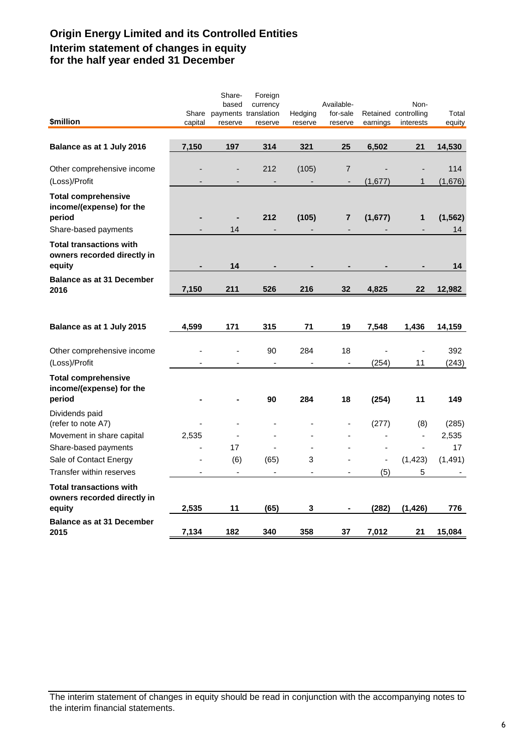# **Origin Energy Limited and its Controlled Entities Interim statement of changes in equity for the half year ended 31 December**

| \$million                                                                                | capital | Share-<br>based<br>Share payments translation<br>reserve | Foreign<br>currency<br>reserve  | Hedging<br>reserve | Available-<br>for-sale<br>reserve | earnings       | Non-<br>Retained controlling<br>interests | Total<br>equity |
|------------------------------------------------------------------------------------------|---------|----------------------------------------------------------|---------------------------------|--------------------|-----------------------------------|----------------|-------------------------------------------|-----------------|
| Balance as at 1 July 2016                                                                | 7,150   | 197                                                      | 314                             | 321                | 25                                | 6,502          | 21                                        | 14,530          |
|                                                                                          |         |                                                          |                                 |                    |                                   |                |                                           |                 |
| Other comprehensive income<br>(Loss)/Profit                                              |         |                                                          | 212<br>$\overline{\phantom{a}}$ | (105)              | 7<br>$\overline{\phantom{a}}$     | (1,677)        | 1                                         | 114<br>(1,676)  |
| <b>Total comprehensive</b><br>income/(expense) for the<br>period<br>Share-based payments |         | $\blacksquare$<br>14                                     | 212                             | (105)              | $\overline{\mathbf{r}}$           | (1,677)        | 1                                         | (1, 562)<br>14  |
| <b>Total transactions with</b><br>owners recorded directly in<br>equity                  |         | 14                                                       |                                 |                    |                                   |                |                                           | 14              |
| <b>Balance as at 31 December</b>                                                         |         |                                                          |                                 |                    |                                   |                |                                           |                 |
| 2016                                                                                     | 7,150   | 211                                                      | 526                             | 216                | 32                                | 4,825          | 22                                        | 12,982          |
| Balance as at 1 July 2015                                                                | 4,599   | 171                                                      | 315                             | 71                 | 19                                | 7,548          | 1,436                                     | 14,159          |
| Other comprehensive income<br>(Loss)/Profit                                              |         |                                                          | 90<br>÷,                        | 284                | 18<br>$\blacksquare$              | (254)          |                                           | 392<br>(243)    |
| <b>Total comprehensive</b><br>income/(expense) for the<br>period                         |         |                                                          | 90                              | 284                | 18                                | (254)          | 11<br>11                                  | 149             |
| Dividends paid<br>(refer to note A7)                                                     |         |                                                          |                                 |                    |                                   | (277)          | (8)                                       | (285)           |
| Movement in share capital                                                                | 2,535   |                                                          |                                 |                    |                                   |                | $\overline{\phantom{0}}$                  | 2,535           |
| Share-based payments                                                                     |         | 17                                                       |                                 | $\overline{a}$     |                                   |                | ä,                                        | 17              |
| Sale of Contact Energy                                                                   |         | (6)                                                      | (65)                            | 3                  |                                   | $\blacksquare$ | (1, 423)                                  | (1, 491)        |
| Transfer within reserves                                                                 | ÷       | $\blacksquare$                                           |                                 | ä,                 |                                   | (5)            | 5                                         |                 |
| <b>Total transactions with</b><br>owners recorded directly in<br>equity                  | 2,535   | 11                                                       | (65)                            | 3                  |                                   | (282)          | (1, 426)                                  | 776             |
| <b>Balance as at 31 December</b><br>2015                                                 | 7,134   | 182                                                      | 340                             | 358                | 37                                | 7,012          | 21                                        | 15,084          |

The interim statement of changes in equity should be read in conjunction with the accompanying notes to the interim financial statements.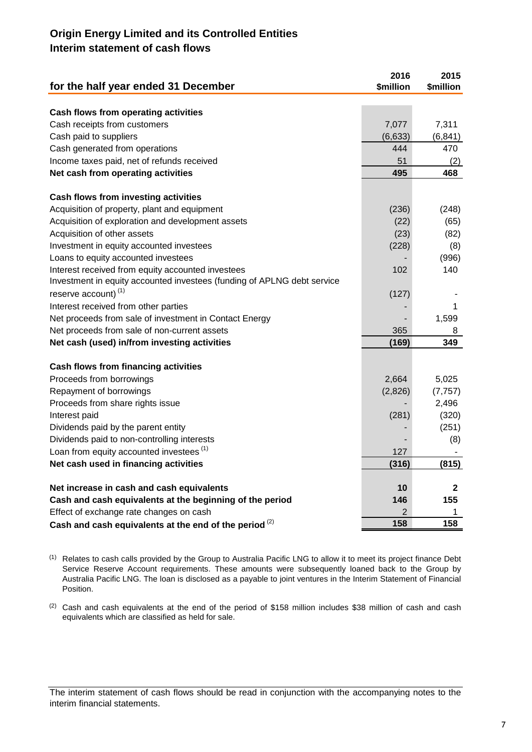## **Origin Energy Limited and its Controlled Entities Interim statement of cash flows**

| for the half year ended 31 December                                     | 2016<br>\$million | 2015<br>\$million |
|-------------------------------------------------------------------------|-------------------|-------------------|
|                                                                         |                   |                   |
| Cash flows from operating activities                                    |                   |                   |
| Cash receipts from customers                                            | 7,077             | 7,311             |
| Cash paid to suppliers                                                  | (6, 633)          | (6, 841)          |
| Cash generated from operations                                          | 444               | 470               |
| Income taxes paid, net of refunds received                              | 51                | (2)               |
| Net cash from operating activities                                      | 495               | 468               |
| <b>Cash flows from investing activities</b>                             |                   |                   |
| Acquisition of property, plant and equipment                            | (236)             | (248)             |
| Acquisition of exploration and development assets                       | (22)              | (65)              |
| Acquisition of other assets                                             | (23)              | (82)              |
| Investment in equity accounted investees                                | (228)             | (8)               |
| Loans to equity accounted investees                                     |                   | (996)             |
| Interest received from equity accounted investees                       | 102               | 140               |
| Investment in equity accounted investees (funding of APLNG debt service |                   |                   |
| reserve account) $(1)$                                                  | (127)             |                   |
| Interest received from other parties                                    |                   | 1                 |
| Net proceeds from sale of investment in Contact Energy                  |                   | 1,599             |
| Net proceeds from sale of non-current assets                            | 365               | 8                 |
| Net cash (used) in/from investing activities                            | (169)             | 349               |
| Cash flows from financing activities                                    |                   |                   |
| Proceeds from borrowings                                                | 2,664             | 5,025             |
| Repayment of borrowings                                                 | (2,826)           | (7, 757)          |
| Proceeds from share rights issue                                        |                   | 2,496             |
| Interest paid                                                           | (281)             | (320)             |
| Dividends paid by the parent entity                                     |                   | (251)             |
| Dividends paid to non-controlling interests                             |                   | (8)               |
| Loan from equity accounted investees <sup>(1)</sup>                     | 127               |                   |
| Net cash used in financing activities                                   | (316)             | (815)             |
| Net increase in cash and cash equivalents                               | 10                | $\mathbf{2}$      |
| Cash and cash equivalents at the beginning of the period                | 146               | 155               |
| Effect of exchange rate changes on cash                                 | 2                 | 1                 |
| Cash and cash equivalents at the end of the period <sup>(2)</sup>       | 158               | 158               |

 $(1)$  Relates to cash calls provided by the Group to Australia Pacific LNG to allow it to meet its project finance Debt Service Reserve Account requirements. These amounts were subsequently loaned back to the Group by Australia Pacific LNG. The loan is disclosed as a payable to joint ventures in the Interim Statement of Financial Position.

<sup>(2)</sup> Cash and cash equivalents at the end of the period of \$158 million includes \$38 million of cash and cash equivalents which are classified as held for sale.

The interim statement of cash flows should be read in conjunction with the accompanying notes to the interim financial statements.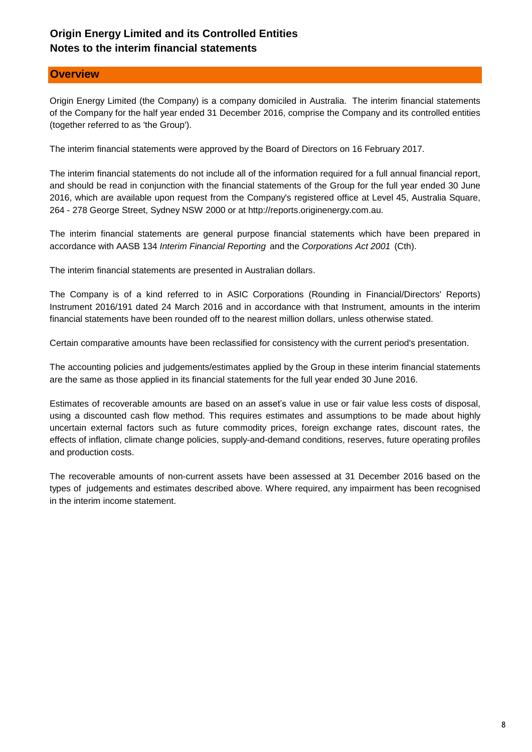## **Notes to the interim financial statements Origin Energy Limited and its Controlled Entities**

## **Overview**

Origin Energy Limited (the Company) is a company domiciled in Australia. The interim financial statements of the Company for the half year ended 31 December 2016, comprise the Company and its controlled entities (together referred to as 'the Group').

The interim financial statements were approved by the Board of Directors on 16 February 2017.

The interim financial statements do not include all of the information required for a full annual financial report, and should be read in conjunction with the financial statements of the Group for the full year ended 30 June 2016, which are available upon request from the Company's registered office at Level 45, Australia Square, 264 - 278 George Street, Sydney NSW 2000 or at http://reports.originenergy.com.au.

The interim financial statements are general purpose financial statements which have been prepared in accordance with AASB 134 *Interim Financial Reporting* and the *Corporations Act 2001* (Cth).

The interim financial statements are presented in Australian dollars.

The Company is of a kind referred to in ASIC Corporations (Rounding in Financial/Directors' Reports) Instrument 2016/191 dated 24 March 2016 and in accordance with that Instrument, amounts in the interim financial statements have been rounded off to the nearest million dollars, unless otherwise stated.

Certain comparative amounts have been reclassified for consistency with the current period's presentation.

The accounting policies and judgements/estimates applied by the Group in these interim financial statements are the same as those applied in its financial statements for the full year ended 30 June 2016.

Estimates of recoverable amounts are based on an asset's value in use or fair value less costs of disposal, using a discounted cash flow method. This requires estimates and assumptions to be made about highly uncertain external factors such as future commodity prices, foreign exchange rates, discount rates, the effects of inflation, climate change policies, supply-and-demand conditions, reserves, future operating profiles and production costs.

The recoverable amounts of non-current assets have been assessed at 31 December 2016 based on the types of judgements and estimates described above. Where required, any impairment has been recognised in the interim income statement.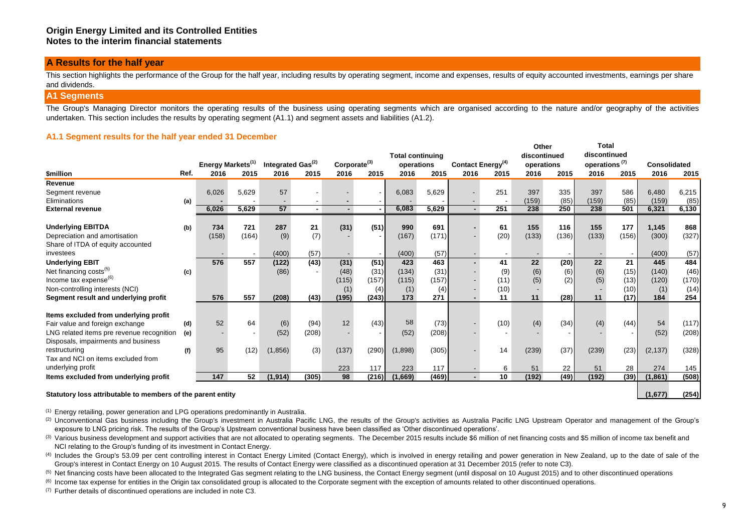#### **A Results for the half year**

This section highlights the performance of the Group for the half year, including results by operating segment, income and expenses, results of equity accounted investments, earnings per share and dividends.

#### **A1 Segments**

The Group's Managing Director monitors the operating results of the business using operating segments which are organised according to the nature and/or geography of the activities undertaken. This section includes the results by operating segment (A1.1) and segment assets and liabilities (A1.2).

#### **A1.1 Segment results for the half year ended 31 December**

|                                           |      | Energy Markets <sup>(1)</sup> |       | Integrated Gas <sup>(2)</sup> |       | Corporate <sup>(3)</sup> |       | <b>Total continuing</b><br>operations |       | Contact Energy <sup>(4)</sup> |      | Other<br>discontinued<br>operations |       | Total.<br>discontinued<br>operations <sup>(7)</sup> |       | Consolidated |       |
|-------------------------------------------|------|-------------------------------|-------|-------------------------------|-------|--------------------------|-------|---------------------------------------|-------|-------------------------------|------|-------------------------------------|-------|-----------------------------------------------------|-------|--------------|-------|
| <b><i><u>Smillion</u></i></b>             | Ref. | 2016                          | 2015  | 2016                          | 2015  | 2016                     | 2015  | 2016                                  | 2015  | 2016                          | 2015 | 2016                                | 2015  | 2016                                                | 2015  | 2016         | 2015  |
| Revenue                                   |      |                               |       |                               |       |                          |       |                                       |       |                               |      |                                     |       |                                                     |       |              |       |
| Segment revenue                           |      | 6,026                         | 5,629 | 57                            |       |                          |       | 6,083                                 | 5,629 |                               | 251  | 397                                 | 335   | 397                                                 | 586   | 6,480        | 6,215 |
| Eliminations                              | (a)  |                               |       |                               |       |                          |       |                                       |       |                               |      | (159)                               | (85)  | (159)                                               | (85)  | (159)        | (85)  |
| <b>External revenue</b>                   |      | 6,026                         | 5.629 | 57                            |       |                          |       | 6,083                                 | 5,629 | $\blacksquare$                | 251  | 238                                 | 250   | 238                                                 | 501   | 6,321        | 6,130 |
| <b>Underlying EBITDA</b>                  | (b)  | 734                           | 721   | 287                           | 21    | (31)                     | (51)  | 990                                   | 691   |                               | 61   | 155                                 | 116   | 155                                                 | 177   | 1,145        | 868   |
| Depreciation and amortisation             |      | (158)                         | (164) | (9)                           | (7)   |                          |       | (167)                                 | (171) |                               | (20) | (133)                               | (136) | (133)                                               | (156) | (300)        | (327) |
| Share of ITDA of equity accounted         |      |                               |       |                               |       |                          |       |                                       |       |                               |      |                                     |       |                                                     |       |              |       |
| investees                                 |      |                               |       | (400)                         | (57)  |                          |       | (400)                                 | (57)  |                               |      |                                     |       |                                                     |       | (400)        | (57)  |
| <b>Underlying EBIT</b>                    |      | 576                           | 557   | (122)                         | (43)  | (31)                     | (51)  | 423                                   | 463   |                               | 41   | 22                                  | (20)  | 22                                                  | 21    | 445          | 484   |
| Net financing costs <sup>(5)</sup>        | (c)  |                               |       | (86)                          |       | (48)                     | (31)  | (134)                                 | (31)  |                               | (9)  | (6)                                 | (6)   | (6)                                                 | (15)  | (140)        | (46)  |
| Income tax expense <sup>(b)</sup>         |      |                               |       |                               |       | (115)                    | (157) | (115)                                 | (157) |                               | (11) | (5)                                 | (2)   | (5)                                                 | (13)  | (120)        | (170) |
| Non-controlling interests (NCI)           |      |                               |       |                               |       | (1)                      | (4)   | (1)                                   | (4)   |                               | (10) |                                     |       |                                                     | (10)  | (1)          | (14)  |
| Segment result and underlying profit      |      | 576                           | 557   | (208)                         | (43)  | (195)                    | (243) | 173                                   | 271   |                               | 11   | 11                                  | (28)  | 11                                                  | (17)  | 184          | 254   |
| Items excluded from underlying profit     |      |                               |       |                               |       |                          |       |                                       |       |                               |      |                                     |       |                                                     |       |              |       |
| Fair value and foreign exchange           | (d)  | 52                            | 64    | (6)                           | (94)  | 12                       | (43)  | 58                                    | (73)  |                               | (10) | (4)                                 | (34)  | (4)                                                 | (44)  | 54           | (117) |
| LNG related items pre revenue recognition | (e)  |                               |       | (52)                          | (208) |                          |       | (52)                                  | (208) |                               |      |                                     |       |                                                     |       | (52)         | (208) |
| Disposals, impairments and business       |      |                               |       |                               |       |                          |       |                                       |       |                               |      |                                     |       |                                                     |       |              |       |
| restructuring                             | (f)  | 95                            | (12)  | (1,856)                       | (3)   | (137)                    | (290) | (1,898)                               | (305) |                               | 14   | (239)                               | (37)  | (239)                                               | (23)  | (2, 137)     | (328) |
| Tax and NCI on items excluded from        |      |                               |       |                               |       |                          |       |                                       |       |                               |      |                                     |       |                                                     |       |              |       |
| underlying profit                         |      |                               |       |                               |       | 223                      | 117   | 223                                   | 117   |                               | 6    | 51                                  | 22    | 51                                                  | 28    | 274          | 145   |
| Items excluded from underlying profit     |      | 147                           | 52    | (1,914)                       | (305) | 98                       | (216) | (1,669)                               | (469) | $\overline{a}$                | 10   | (192)                               | (49)  | (192)                                               | (39)  | (1,861)      | (508) |
|                                           |      |                               |       |                               |       |                          |       |                                       |       |                               |      |                                     |       |                                                     |       |              |       |

#### **Statutory loss attributable to members of the parent entity**

 **(1,677) (254)**

**Total** 

(1) Energy retailing, power generation and LPG operations predominantly in Australia.

<sup>(2)</sup> Unconventional Gas business including the Group's investment in Australia Pacific LNG, the results of the Group's activities as Australia Pacific LNG Upstream Operator and management of the Group's exposure to LNG pricing risk. The results of the Group's Upstream conventional business have been classified as 'Other discontinued operations'.

- (3) Various business development and support activities that are not allocated to operating segments. The December 2015 results include \$6 million of net financing costs and \$5 million of income tax benefit and NCI relating to the Group's funding of its investment in Contact Energy.
- <sup>(4)</sup> Includes the Group's 53.09 per cent controlling interest in Contact Energy Limited (Contact Energy), which is involved in energy retailing and power generation in New Zealand, up to the date of sale of the Group's interest in Contact Energy on 10 August 2015. The results of Contact Energy were classified as a discontinued operation at 31 December 2015 (refer to note C3).
- <sup>(5)</sup> Net financing costs have been allocated to the Integrated Gas segment relating to the LNG business, the Contact Energy segment (until disposal on 10 August 2015) and to other discontinued operations
- <sup>(6)</sup> Income tax expense for entities in the Origin tax consolidated group is allocated to the Corporate segment with the exception of amounts related to other discontinued operations.

(7) Further details of discontinued operations are included in note C3.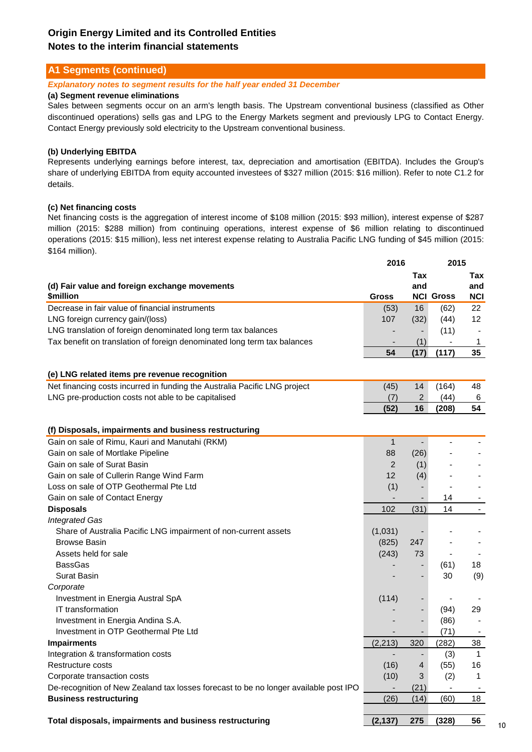### **A1 Segments (continued)**

#### *Explanatory notes to segment results for the half year ended 31 December*

#### **(a) Segment revenue eliminations**

Sales between segments occur on an arm's length basis. The Upstream conventional business (classified as Other discontinued operations) sells gas and LPG to the Energy Markets segment and previously LPG to Contact Energy. Contact Energy previously sold electricity to the Upstream conventional business.

### **(b) Underlying EBITDA**

Represents underlying earnings before interest, tax, depreciation and amortisation (EBITDA). Includes the Group's share of underlying EBITDA from equity accounted investees of \$327 million (2015: \$16 million). Refer to note C1.2 for details.

#### **(c) Net financing costs**

Net financing costs is the aggregation of interest income of \$108 million (2015: \$93 million), interest expense of \$287 million (2015: \$288 million) from continuing operations, interest expense of \$6 million relating to discontinued operations (2015: \$15 million), less net interest expense relating to Australia Pacific LNG funding of \$45 million (2015: \$164 million).

|                                                                                                         | 2016           |                | 2015                     |                          |
|---------------------------------------------------------------------------------------------------------|----------------|----------------|--------------------------|--------------------------|
| (d) Fair value and foreign exchange movements                                                           |                | Tax<br>and     |                          | Tax<br>and               |
| <b><i><u>Smillion</u></i></b>                                                                           | <b>Gross</b>   |                | <b>NCI Gross</b>         | NCI                      |
| Decrease in fair value of financial instruments                                                         | (53)           | 16             | (62)                     | 22                       |
| LNG foreign currency gain/(loss)                                                                        | 107            | (32)           | (44)                     | $12 \,$                  |
| LNG translation of foreign denominated long term tax balances                                           |                |                | (11)                     |                          |
| Tax benefit on translation of foreign denominated long term tax balances                                |                | (1)            |                          | $\mathbf{1}$             |
|                                                                                                         | 54             | (17)           | (117)                    | 35                       |
| (e) LNG related items pre revenue recognition                                                           |                |                |                          |                          |
| Net financing costs incurred in funding the Australia Pacific LNG project                               | (45)           | 14             | (164)                    | 48                       |
| LNG pre-production costs not able to be capitalised                                                     | (7)            | $\overline{c}$ | (44)                     | 6                        |
|                                                                                                         | (52)           | 16             | (208)                    | 54                       |
|                                                                                                         |                |                |                          |                          |
| (f) Disposals, impairments and business restructuring<br>Gain on sale of Rimu, Kauri and Manutahi (RKM) | $\mathbf{1}$   |                |                          |                          |
|                                                                                                         | 88             |                |                          |                          |
| Gain on sale of Mortlake Pipeline                                                                       |                | (26)           |                          |                          |
| Gain on sale of Surat Basin                                                                             | $\overline{2}$ | (1)            |                          |                          |
| Gain on sale of Cullerin Range Wind Farm                                                                | 12             | (4)            |                          |                          |
| Loss on sale of OTP Geothermal Pte Ltd                                                                  | (1)            | $\blacksquare$ |                          | $\blacksquare$           |
| Gain on sale of Contact Energy                                                                          |                |                | 14                       |                          |
| <b>Disposals</b>                                                                                        | 102            | (31)           | 14                       | $\overline{\phantom{a}}$ |
| <b>Integrated Gas</b>                                                                                   |                |                |                          |                          |
| Share of Australia Pacific LNG impairment of non-current assets                                         | (1,031)        |                |                          |                          |
| <b>Browse Basin</b>                                                                                     | (825)          | 247            |                          |                          |
| Assets held for sale                                                                                    | (243)          | 73             |                          |                          |
| <b>BassGas</b>                                                                                          |                |                | (61)                     | 18                       |
| <b>Surat Basin</b>                                                                                      |                |                | 30                       | (9)                      |
| Corporate                                                                                               |                |                |                          |                          |
| Investment in Energia Austral SpA                                                                       | (114)          |                | $\overline{\phantom{a}}$ |                          |
| <b>IT transformation</b>                                                                                |                |                | (94)                     | 29                       |
| Investment in Energia Andina S.A.                                                                       |                |                | (86)                     | $\blacksquare$           |
| Investment in OTP Geothermal Pte Ltd                                                                    |                |                | (71)                     |                          |
| <b>Impairments</b>                                                                                      | (2, 213)       | 320            | (282)                    | 38                       |
| Integration & transformation costs                                                                      | $\blacksquare$ |                | (3)                      | $\mathbf{1}$             |
| Restructure costs                                                                                       | (16)           | 4              | (55)                     | 16                       |
| Corporate transaction costs                                                                             | (10)           | 3              | (2)                      | 1                        |
| De-recognition of New Zealand tax losses forecast to be no longer available post IPO                    |                | (21)           |                          |                          |
| <b>Business restructuring</b>                                                                           | (26)           | (14)           | (60)                     | 18                       |
| Total disposals, impairments and business restructuring                                                 |                |                |                          | 56                       |
|                                                                                                         | (2, 137)       | 275            | (328)                    |                          |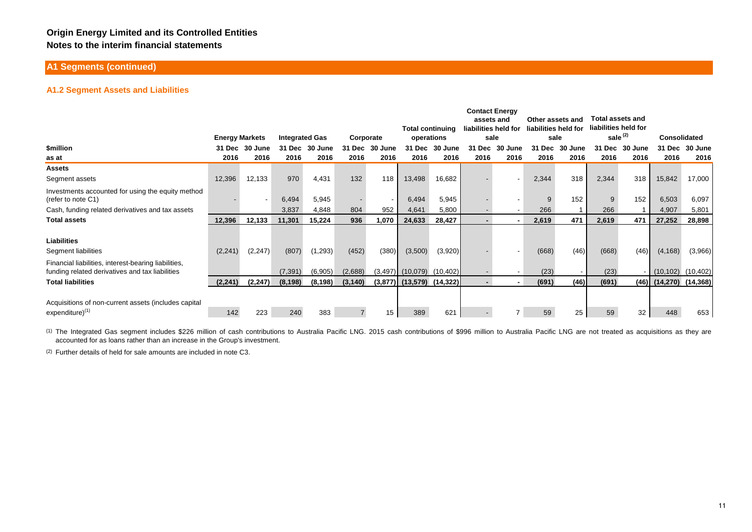### **A1 Segments (continued)**

#### **A1.2 Segment Assets and Liabilities**

|                                                                                                         |                       |                          |                       |          |           |            |                         |           | <b>Contact Energy</b>              |         |                                          |         | <b>Total assets and</b> |         |                              |           |
|---------------------------------------------------------------------------------------------------------|-----------------------|--------------------------|-----------------------|----------|-----------|------------|-------------------------|-----------|------------------------------------|---------|------------------------------------------|---------|-------------------------|---------|------------------------------|-----------|
|                                                                                                         |                       |                          |                       |          |           |            | <b>Total continuing</b> |           | assets and<br>liabilities held for |         | Other assets and<br>liabilities held for |         | liabilities held for    |         |                              |           |
|                                                                                                         | <b>Energy Markets</b> |                          | <b>Integrated Gas</b> |          | Corporate |            | operations              |           | sale                               |         | sale                                     |         | sale $(2)$              |         | <b>Consolidated</b>          |           |
| <b><i><u>Smillion</u></i></b>                                                                           | 31 Dec                | -30<br>June              | 31 Dec                | 30 June  | 31 Dec    | 30<br>June | 31 Dec                  | 30 June   | 31 Dec                             | 30 June | 31 Dec                                   | 30 June | 31 Dec                  | 30 June | 31 Dec                       | 30 June   |
| as at                                                                                                   | 2016                  | 2016                     | 2016                  | 2016     | 2016      | 2016       | 2016                    | 2016      | 2016                               | 2016    | 2016                                     | 2016    | 2016                    | 2016    | 2016                         | 2016      |
| <b>Assets</b>                                                                                           |                       |                          |                       |          |           |            |                         |           |                                    |         |                                          |         |                         |         |                              |           |
| Segment assets                                                                                          | 12,396                | 12,133                   | 970                   | 4,431    | 132       | 118        | 13,498                  | 16,682    |                                    |         | 2,344                                    | 318     | 2,344                   | 318     | 15,842                       | 17,000    |
| Investments accounted for using the equity method<br>(refer to note C1)                                 |                       | $\overline{\phantom{a}}$ | 6,494                 | 5,945    |           |            | 6,494                   | 5,945     |                                    |         | 9                                        | 152     | 9                       | 152     | 6,503                        | 6,097     |
| Cash, funding related derivatives and tax assets                                                        |                       |                          | 3,837                 | 4,848    | 804       | 952        | 4,641                   | 5,800     |                                    |         | 266                                      |         | 266                     |         | 4,907                        | 5,801     |
| <b>Total assets</b>                                                                                     | 12,396                | 12,133                   | 11,301                | 15,224   | 936       | 1,070      | 24,633                  | 28,427    |                                    |         | 2,619                                    | 471     | 2,619                   | 471     | 27,252                       | 28,898    |
|                                                                                                         |                       |                          |                       |          |           |            |                         |           |                                    |         |                                          |         |                         |         |                              |           |
| <b>Liabilities</b>                                                                                      |                       |                          |                       |          |           |            |                         |           |                                    |         |                                          |         |                         |         |                              |           |
| Segment liabilities                                                                                     | (2,241)               | (2, 247)                 | (807)                 | (1, 293) | (452)     | (380)      | (3,500)                 | (3,920)   |                                    |         | (668)                                    | (46)    | (668)                   | (46)    | (4, 168)                     | (3,966)   |
| Financial liabilities, interest-bearing liabilities,<br>funding related derivatives and tax liabilities |                       |                          | (7, 391)              | (6,905)  | (2,688)   |            | $(3,497)$ $(10,079)$    | (10, 402) |                                    |         | (23)                                     |         | (23)                    |         | (10, 102)                    | (10, 402) |
| <b>Total liabilities</b>                                                                                | (2, 241)              | (2, 247)                 | (8, 198)              | (8, 198) | (3, 140)  |            | $(3,877)$ $(13,579)$    | (14, 322) |                                    |         | (691)                                    | (46)    | (691)                   |         | $(46)$ $(14,270)$ $(14,368)$ |           |
| Acquisitions of non-current assets (includes capital                                                    |                       |                          |                       |          |           |            |                         |           |                                    |         |                                          |         |                         |         |                              |           |
| $expenditure)^{(1)}$                                                                                    | 142                   | 223                      | 240                   | 383      |           | 15         | 389                     | 621       |                                    |         | 59                                       | 25      | 59                      | 32      | 448                          | 653       |

(1) The Integrated Gas segment includes \$226 million of cash contributions to Australia Pacific LNG. 2015 cash contributions of \$996 million to Australia Pacific LNG are not treated as acquisitions as they are accounted for as loans rather than an increase in the Group's investment.

(2) Further details of held for sale amounts are included in note C3.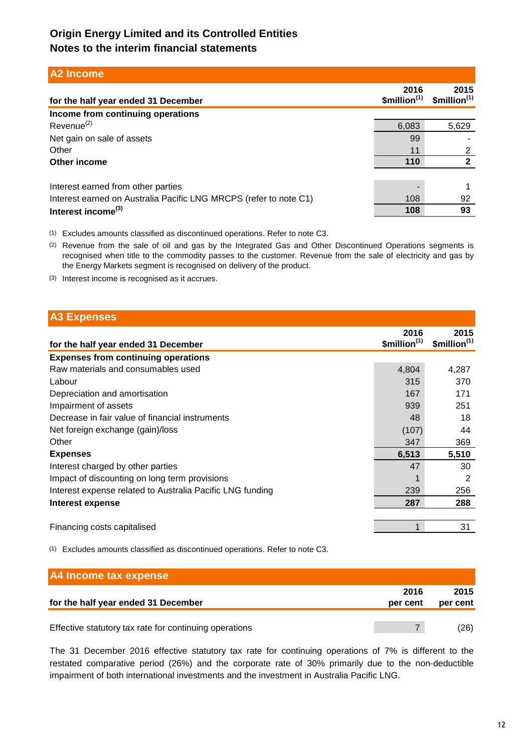## **A2 Income**

| for the half year ended 31 December                               | 2016<br>\$million <sup>(1)</sup> | 2015<br>\$million <sup>(1)</sup> |
|-------------------------------------------------------------------|----------------------------------|----------------------------------|
| Income from continuing operations                                 |                                  |                                  |
| Revenue <sup>(2)</sup>                                            | 6,083                            | 5,629                            |
| Net gain on sale of assets                                        | 99                               |                                  |
| Other                                                             | 11                               | າ                                |
| Other income                                                      | 110                              | າ                                |
|                                                                   |                                  |                                  |
| Interest earned from other parties                                |                                  |                                  |
| Interest earned on Australia Pacific LNG MRCPS (refer to note C1) | 108                              | 92                               |
| Interest income <sup>(3)</sup>                                    | 108                              | 93                               |

(1) Excludes amounts classified as discontinued operations. Refer to note C3.

(2) Revenue from the sale of oil and gas by the Integrated Gas and Other Discontinued Operations segments is recognised when title to the commodity passes to the customer. Revenue from the sale of electricity and gas by the Energy Markets segment is recognised on delivery of the product.

(3) Interest income is recognised as it accrues.

## **A3 Expenses**

| for the half year ended 31 December                       | 2016<br>\$million <sup>(1)</sup> | 2015<br>\$million <sup>(1)</sup> |
|-----------------------------------------------------------|----------------------------------|----------------------------------|
| <b>Expenses from continuing operations</b>                |                                  |                                  |
| Raw materials and consumables used                        | 4,804                            | 4,287                            |
| Labour                                                    | 315                              | 370                              |
| Depreciation and amortisation                             | 167                              | 171                              |
| Impairment of assets                                      | 939                              | 251                              |
| Decrease in fair value of financial instruments           | 48                               | 18                               |
| Net foreign exchange (gain)/loss                          | (107)                            | 44                               |
| Other                                                     | 347                              | 369                              |
| <b>Expenses</b>                                           | 6,513                            | 5,510                            |
| Interest charged by other parties                         | 47                               | 30                               |
| Impact of discounting on long term provisions             |                                  | $\mathfrak{p}$                   |
| Interest expense related to Australia Pacific LNG funding | 239                              | 256                              |
| Interest expense                                          | 287                              | 288                              |
|                                                           |                                  |                                  |
| Financing costs capitalised                               |                                  | 31                               |

(1) Excludes amounts classified as discontinued operations. Refer to note C3.

| A4 Income tax expense                                  |                  |                  |
|--------------------------------------------------------|------------------|------------------|
| for the half year ended 31 December                    | 2016<br>per cent | 2015<br>per cent |
| Effective statutory tax rate for continuing operations |                  | (26)             |

The 31 December 2016 effective statutory tax rate for continuing operations of 7% is different to the restated comparative period (26%) and the corporate rate of 30% primarily due to the non-deductible impairment of both international investments and the investment in Australia Pacific LNG.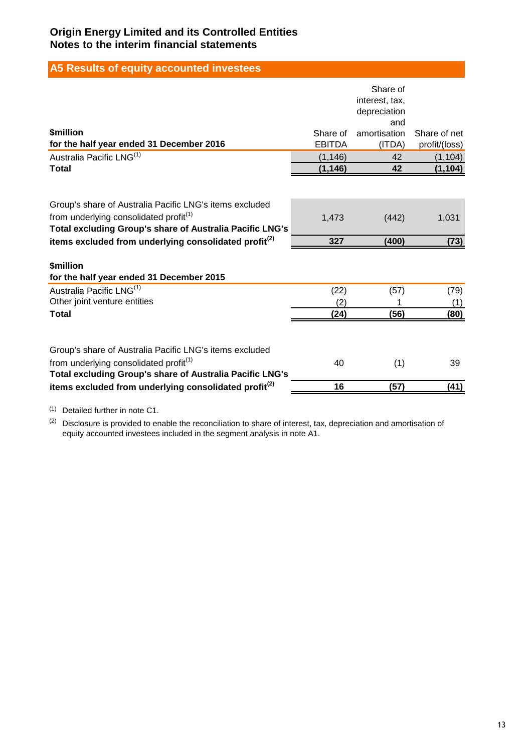# **A5 Results of equity accounted investees**

|                                                                   |               | Share of            |               |
|-------------------------------------------------------------------|---------------|---------------------|---------------|
|                                                                   |               | interest, tax,      |               |
|                                                                   |               | depreciation<br>and |               |
| <b><i><u>Smillion</u></i></b>                                     | Share of      | amortisation        | Share of net  |
| for the half year ended 31 December 2016                          | <b>EBITDA</b> | (ITDA)              | profit/(loss) |
| Australia Pacific LNG <sup>(1)</sup>                              | (1, 146)      | 42                  | (1, 104)      |
| <b>Total</b>                                                      | (1, 146)      | 42                  | (1, 104)      |
|                                                                   |               |                     |               |
| Group's share of Australia Pacific LNG's items excluded           |               |                     |               |
| from underlying consolidated profit <sup>(1)</sup>                | 1,473         | (442)               | 1,031         |
| Total excluding Group's share of Australia Pacific LNG's          |               |                     |               |
| items excluded from underlying consolidated profit <sup>(2)</sup> | 327           | (400)               | (73)          |
|                                                                   |               |                     |               |
| <b>\$million</b>                                                  |               |                     |               |
| for the half year ended 31 December 2015                          |               |                     |               |
| Australia Pacific LNG <sup>(1)</sup>                              | (22)          | (57)                | (79)          |
| Other joint venture entities                                      | (2)           |                     | (1)           |
| <b>Total</b>                                                      | (24)          | (56)                | (80)          |
|                                                                   |               |                     |               |
| Group's share of Australia Pacific LNG's items excluded           |               |                     |               |
| from underlying consolidated profit <sup>(1)</sup>                | 40            | (1)                 | 39            |
| Total excluding Group's share of Australia Pacific LNG's          |               |                     |               |
| items excluded from underlying consolidated profit <sup>(2)</sup> | 16            | (57)                | (41)          |

(1) Detailed further in note C1.

 $(2)$  Disclosure is provided to enable the reconciliation to share of interest, tax, depreciation and amortisation of equity accounted investees included in the segment analysis in note A1.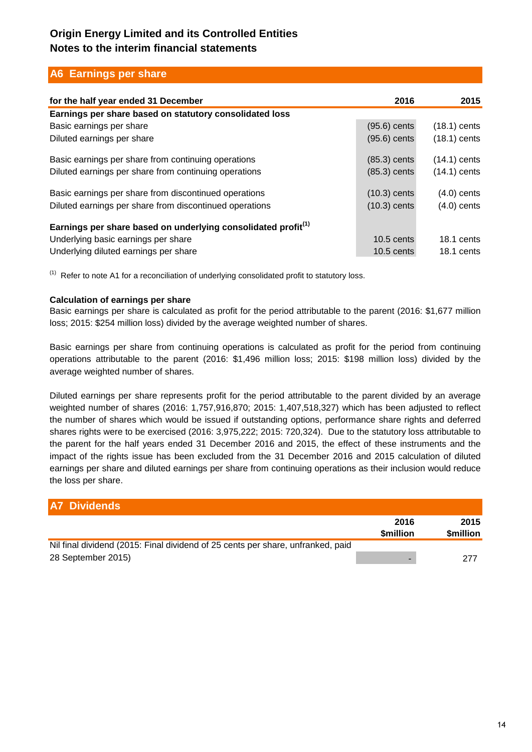## **A6 Earnings per share**

| for the half year ended 31 December                                       | 2016           | 2015                 |
|---------------------------------------------------------------------------|----------------|----------------------|
| Earnings per share based on statutory consolidated loss                   |                |                      |
| Basic earnings per share                                                  | $(95.6)$ cents | $(18.1)$ cents       |
| Diluted earnings per share                                                | $(95.6)$ cents | $(18.1)$ cents       |
| Basic earnings per share from continuing operations                       | $(85.3)$ cents | $(14.1)$ cents       |
| Diluted earnings per share from continuing operations                     | $(85.3)$ cents | $(14.1)$ cents       |
| Basic earnings per share from discontinued operations                     | $(10.3)$ cents | $(4.0)$ cents        |
| Diluted earnings per share from discontinued operations                   | $(10.3)$ cents | $(4.0)$ cents        |
| Earnings per share based on underlying consolidated profit <sup>(1)</sup> |                |                      |
| Underlying basic earnings per share                                       | $10.5$ cents   | $18.1 \text{ cents}$ |
| Underlying diluted earnings per share                                     | $10.5$ cents   | 18.1 cents           |

 $<sup>(1)</sup>$  Refer to note A1 for a reconciliation of underlying consolidated profit to statutory loss.</sup>

### **Calculation of earnings per share**

Basic earnings per share is calculated as profit for the period attributable to the parent (2016: \$1,677 million loss; 2015: \$254 million loss) divided by the average weighted number of shares.

Basic earnings per share from continuing operations is calculated as profit for the period from continuing operations attributable to the parent (2016: \$1,496 million loss; 2015: \$198 million loss) divided by the average weighted number of shares.

Diluted earnings per share represents profit for the period attributable to the parent divided by an average weighted number of shares (2016: 1,757,916,870; 2015: 1,407,518,327) which has been adjusted to reflect the number of shares which would be issued if outstanding options, performance share rights and deferred shares rights were to be exercised (2016: 3,975,222; 2015: 720,324). Due to the statutory loss attributable to the parent for the half years ended 31 December 2016 and 2015, the effect of these instruments and the impact of the rights issue has been excluded from the 31 December 2016 and 2015 calculation of diluted earnings per share and diluted earnings per share from continuing operations as their inclusion would reduce the loss per share.

| <b>A7 Dividends</b>                                                             |                         |                         |
|---------------------------------------------------------------------------------|-------------------------|-------------------------|
|                                                                                 | 2016<br><b>Smillion</b> | 2015<br><b>Smillion</b> |
| Nil final dividend (2015: Final dividend of 25 cents per share, unfranked, paid |                         |                         |
| 28 September 2015)                                                              |                         | 277                     |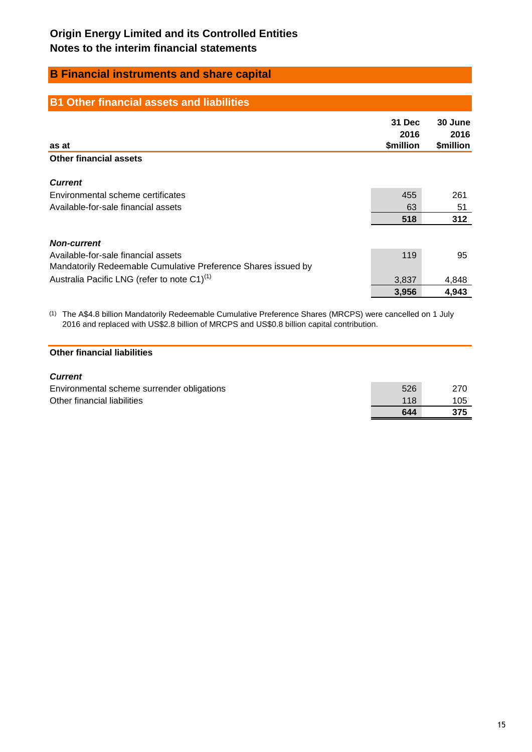## **B Financial instruments and share capital**

| <b>B1 Other financial assets and liabilities</b>              |                             |                              |
|---------------------------------------------------------------|-----------------------------|------------------------------|
| as at                                                         | 31 Dec<br>2016<br>\$million | 30 June<br>2016<br>\$million |
| <b>Other financial assets</b>                                 |                             |                              |
| <b>Current</b>                                                |                             |                              |
| Environmental scheme certificates                             | 455                         | 261                          |
| Available-for-sale financial assets                           | 63                          | 51                           |
|                                                               | 518                         | 312                          |
| <b>Non-current</b>                                            |                             |                              |
| Available-for-sale financial assets                           | 119                         | 95                           |
| Mandatorily Redeemable Cumulative Preference Shares issued by |                             |                              |
| Australia Pacific LNG (refer to note C1) <sup>(1)</sup>       | 3,837                       | 4,848                        |
|                                                               | 3,956                       | 4,943                        |

(1) The A\$4.8 billion Mandatorily Redeemable Cumulative Preference Shares (MRCPS) were cancelled on 1 July 2016 and replaced with US\$2.8 billion of MRCPS and US\$0.8 billion capital contribution.

### **Other financial liabilities**

### *Current*

|                                            | 644 | 375 |
|--------------------------------------------|-----|-----|
| Other financial liabilities                | 118 | 105 |
| Environmental scheme surrender obligations | 526 | 270 |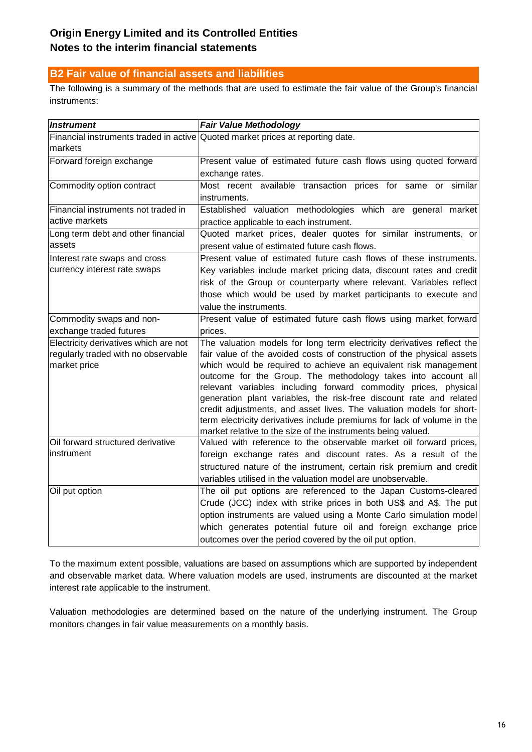## **B2 Fair value of financial assets and liabilities**

The following is a summary of the methods that are used to estimate the fair value of the Group's financial instruments:

| <b>Instrument</b>                                                                            | <b>Fair Value Methodology</b>                                                                                                                                                                                                                                                                                                                                                                                                                                                                                                                                                                                                                      |
|----------------------------------------------------------------------------------------------|----------------------------------------------------------------------------------------------------------------------------------------------------------------------------------------------------------------------------------------------------------------------------------------------------------------------------------------------------------------------------------------------------------------------------------------------------------------------------------------------------------------------------------------------------------------------------------------------------------------------------------------------------|
| markets                                                                                      | Financial instruments traded in active Quoted market prices at reporting date.                                                                                                                                                                                                                                                                                                                                                                                                                                                                                                                                                                     |
| Forward foreign exchange                                                                     | Present value of estimated future cash flows using quoted forward<br>exchange rates.                                                                                                                                                                                                                                                                                                                                                                                                                                                                                                                                                               |
| Commodity option contract                                                                    | Most recent available transaction prices for same or similar<br>instruments.                                                                                                                                                                                                                                                                                                                                                                                                                                                                                                                                                                       |
| Financial instruments not traded in<br>active markets                                        | Established valuation methodologies which are general market<br>practice applicable to each instrument.                                                                                                                                                                                                                                                                                                                                                                                                                                                                                                                                            |
| Long term debt and other financial<br>assets                                                 | Quoted market prices, dealer quotes for similar instruments, or<br>present value of estimated future cash flows.                                                                                                                                                                                                                                                                                                                                                                                                                                                                                                                                   |
| Interest rate swaps and cross<br>currency interest rate swaps                                | Present value of estimated future cash flows of these instruments.<br>Key variables include market pricing data, discount rates and credit<br>risk of the Group or counterparty where relevant. Variables reflect<br>those which would be used by market participants to execute and<br>value the instruments.                                                                                                                                                                                                                                                                                                                                     |
| Commodity swaps and non-<br>exchange traded futures                                          | Present value of estimated future cash flows using market forward<br>prices.                                                                                                                                                                                                                                                                                                                                                                                                                                                                                                                                                                       |
| Electricity derivatives which are not<br>regularly traded with no observable<br>market price | The valuation models for long term electricity derivatives reflect the<br>fair value of the avoided costs of construction of the physical assets<br>which would be required to achieve an equivalent risk management<br>outcome for the Group. The methodology takes into account all<br>relevant variables including forward commodity prices, physical<br>generation plant variables, the risk-free discount rate and related<br>credit adjustments, and asset lives. The valuation models for short-<br>term electricity derivatives include premiums for lack of volume in the<br>market relative to the size of the instruments being valued. |
| Oil forward structured derivative<br>instrument                                              | Valued with reference to the observable market oil forward prices,<br>foreign exchange rates and discount rates. As a result of the<br>structured nature of the instrument, certain risk premium and credit<br>variables utilised in the valuation model are unobservable.                                                                                                                                                                                                                                                                                                                                                                         |
| Oil put option                                                                               | The oil put options are referenced to the Japan Customs-cleared<br>Crude (JCC) index with strike prices in both US\$ and A\$. The put<br>option instruments are valued using a Monte Carlo simulation model<br>which generates potential future oil and foreign exchange price<br>outcomes over the period covered by the oil put option.                                                                                                                                                                                                                                                                                                          |

To the maximum extent possible, valuations are based on assumptions which are supported by independent and observable market data. Where valuation models are used, instruments are discounted at the market interest rate applicable to the instrument.

Valuation methodologies are determined based on the nature of the underlying instrument. The Group monitors changes in fair value measurements on a monthly basis.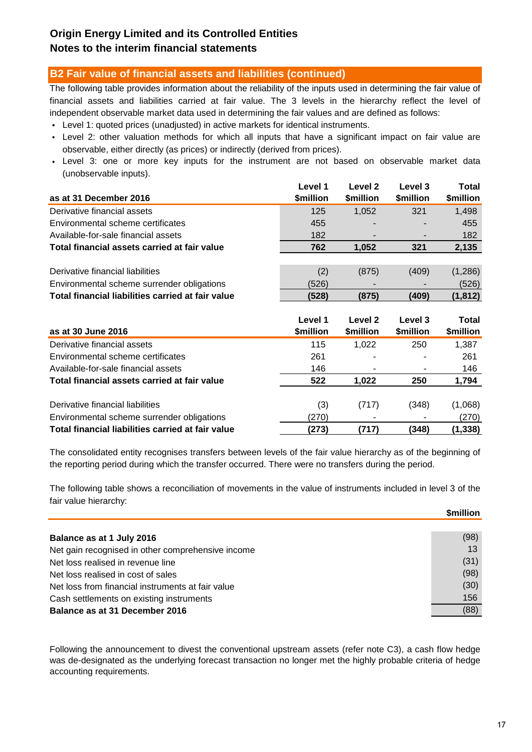## **B2 Fair value of financial assets and liabilities (continued)**

The following table provides information about the reliability of the inputs used in determining the fair value of financial assets and liabilities carried at fair value. The 3 levels in the hierarchy reflect the level of independent observable market data used in determining the fair values and are defined as follows:

- Level 1: quoted prices (unadjusted) in active markets for identical instruments.
- Level 2: other valuation methods for which all inputs that have a significant impact on fair value are observable, either directly (as prices) or indirectly (derived from prices).
- Level 3: one or more key inputs for the instrument are not based on observable market data (unobservable inputs).

| Level 1<br>\$million<br>as at 31 December 2016             | Level 2<br>\$million     | Level 3<br>\$million | Total<br>\$million |
|------------------------------------------------------------|--------------------------|----------------------|--------------------|
| Derivative financial assets<br>125                         | 1,052                    | 321                  | 1,498              |
| Environmental scheme certificates<br>455                   |                          |                      | 455                |
| Available-for-sale financial assets<br>182                 | $\overline{\phantom{a}}$ |                      | 182                |
| Total financial assets carried at fair value<br>762        | 1,052                    | 321                  | 2,135              |
|                                                            |                          |                      |                    |
| Derivative financial liabilities<br>(2)                    | (875)                    | (409)                | (1,286)            |
| (526)<br>Environmental scheme surrender obligations        |                          |                      | (526)              |
| Total financial liabilities carried at fair value<br>(528) | (875)                    | (409)                | (1, 812)           |
|                                                            |                          |                      |                    |

| as at 30 June 2016                                | Level 1<br>\$million | Level 2<br>\$million | Level 3<br>\$million | <b>Total</b><br>\$million |
|---------------------------------------------------|----------------------|----------------------|----------------------|---------------------------|
| Derivative financial assets                       | 115                  | 1.022                | 250                  | 1,387                     |
| Environmental scheme certificates                 | 261                  |                      |                      | 261                       |
| Available-for-sale financial assets               | 146                  |                      |                      | 146                       |
| Total financial assets carried at fair value      | 522                  | 1.022                | 250                  | 1,794                     |
| Derivative financial liabilities                  | (3)                  | (717)                | (348)                | (1,068)                   |
| Environmental scheme surrender obligations        | (270)                |                      |                      | (270)                     |
| Total financial liabilities carried at fair value | (273)                | (717)                | (348)                | (1, 338)                  |

The consolidated entity recognises transfers between levels of the fair value hierarchy as of the beginning of the reporting period during which the transfer occurred. There were no transfers during the period.

The following table shows a reconciliation of movements in the value of instruments included in level 3 of the fair value hierarchy:

|                                                   | \$million |
|---------------------------------------------------|-----------|
|                                                   |           |
| Balance as at 1 July 2016                         | (98)      |
| Net gain recognised in other comprehensive income | 13        |
| Net loss realised in revenue line                 | (31)      |
| Net loss realised in cost of sales                | (98)      |
| Net loss from financial instruments at fair value | (30)      |
| Cash settlements on existing instruments          | 156       |
| Balance as at 31 December 2016                    | (88)      |

Following the announcement to divest the conventional upstream assets (refer note C3), a cash flow hedge was de-designated as the underlying forecast transaction no longer met the highly probable criteria of hedge accounting requirements.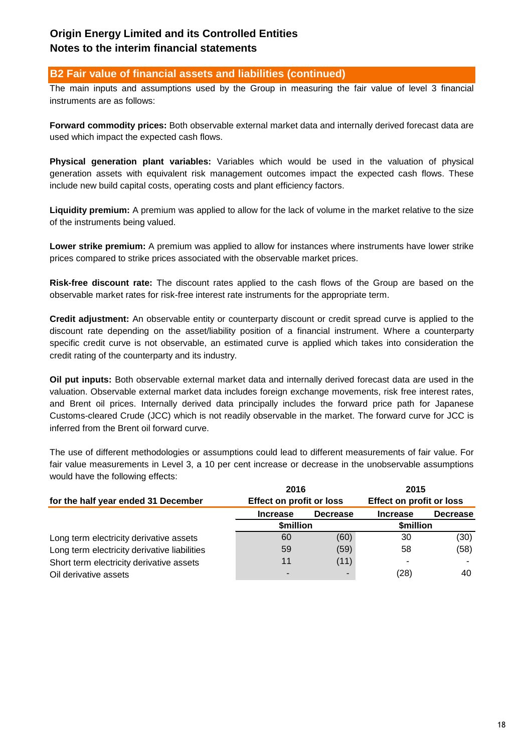## **B2 Fair value of financial assets and liabilities (continued)**

The main inputs and assumptions used by the Group in measuring the fair value of level 3 financial instruments are as follows:

**Forward commodity prices:** Both observable external market data and internally derived forecast data are used which impact the expected cash flows.

**Physical generation plant variables:** Variables which would be used in the valuation of physical generation assets with equivalent risk management outcomes impact the expected cash flows. These include new build capital costs, operating costs and plant efficiency factors.

**Liquidity premium:** A premium was applied to allow for the lack of volume in the market relative to the size of the instruments being valued.

**Lower strike premium:** A premium was applied to allow for instances where instruments have lower strike prices compared to strike prices associated with the observable market prices.

**Risk-free discount rate:** The discount rates applied to the cash flows of the Group are based on the observable market rates for risk-free interest rate instruments for the appropriate term.

**Credit adjustment:** An observable entity or counterparty discount or credit spread curve is applied to the discount rate depending on the asset/liability position of a financial instrument. Where a counterparty specific credit curve is not observable, an estimated curve is applied which takes into consideration the credit rating of the counterparty and its industry.

**Oil put inputs:** Both observable external market data and internally derived forecast data are used in the valuation. Observable external market data includes foreign exchange movements, risk free interest rates, and Brent oil prices. Internally derived data principally includes the forward price path for Japanese Customs-cleared Crude (JCC) which is not readily observable in the market. The forward curve for JCC is inferred from the Brent oil forward curve.

The use of different methodologies or assumptions could lead to different measurements of fair value. For fair value measurements in Level 3, a 10 per cent increase or decrease in the unobservable assumptions would have the following effects:

|                                              | 2016                     |                          | 2015                     |                 |
|----------------------------------------------|--------------------------|--------------------------|--------------------------|-----------------|
| for the half year ended 31 December          | Effect on profit or loss |                          | Effect on profit or loss |                 |
|                                              | <b>Increase</b>          | <b>Decrease</b>          | <b>Increase</b>          | <b>Decrease</b> |
|                                              | \$million                |                          | \$million                |                 |
| Long term electricity derivative assets      | 60                       | (60)                     | 30                       | (30)            |
| Long term electricity derivative liabilities | 59                       | (59)                     | 58                       | (58)            |
| Short term electricity derivative assets     | 11                       | (11)                     |                          |                 |
| Oil derivative assets                        |                          | $\overline{\phantom{a}}$ | (28)                     | 40              |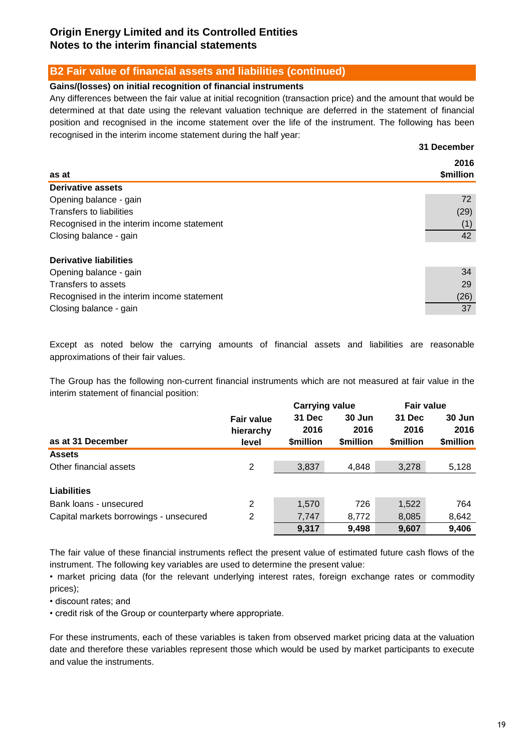## **B2 Fair value of financial assets and liabilities (continued)**

### **Gains/(losses) on initial recognition of financial instruments**

Any differences between the fair value at initial recognition (transaction price) and the amount that would be determined at that date using the relevant valuation technique are deferred in the statement of financial position and recognised in the income statement over the life of the instrument. The following has been recognised in the interim income statement during the half year:

| as at                                      | 2016<br>\$million |
|--------------------------------------------|-------------------|
| <b>Derivative assets</b>                   |                   |
| Opening balance - gain                     | 72                |
| Transfers to liabilities                   | (29)              |
| Recognised in the interim income statement | (1)               |
| Closing balance - gain                     | 42                |
| <b>Derivative liabilities</b>              |                   |
| Opening balance - gain                     | 34                |
| Transfers to assets                        | 29                |
| Recognised in the interim income statement | (26)              |
| Closing balance - gain                     | 37                |

Except as noted below the carrying amounts of financial assets and liabilities are reasonable approximations of their fair values.

The Group has the following non-current financial instruments which are not measured at fair value in the interim statement of financial position:

|                                        |                   | <b>Carrying value</b> |                 | <b>Fair value</b> |           |
|----------------------------------------|-------------------|-----------------------|-----------------|-------------------|-----------|
|                                        | <b>Fair value</b> | 31 Dec                | 30 Jun          | 31 Dec            | 30 Jun    |
|                                        | hierarchy         | 2016                  | 2016            | 2016              | 2016      |
| as at 31 December                      | level             | <b>Smillion</b>       | <b>Smillion</b> | \$million         | \$million |
| <b>Assets</b>                          |                   |                       |                 |                   |           |
| Other financial assets                 | 2                 | 3,837                 | 4,848           | 3,278             | 5,128     |
|                                        |                   |                       |                 |                   |           |
| <b>Liabilities</b>                     |                   |                       |                 |                   |           |
| Bank loans - unsecured                 | 2                 | 1,570                 | 726             | 1,522             | 764       |
| Capital markets borrowings - unsecured | 2                 | 7,747                 | 8,772           | 8,085             | 8,642     |
|                                        |                   | 9,317                 | 9,498           | 9,607             | 9,406     |

The fair value of these financial instruments reflect the present value of estimated future cash flows of the instrument. The following key variables are used to determine the present value:

• market pricing data (for the relevant underlying interest rates, foreign exchange rates or commodity prices);

• discount rates; and

• credit risk of the Group or counterparty where appropriate.

For these instruments, each of these variables is taken from observed market pricing data at the valuation date and therefore these variables represent those which would be used by market participants to execute and value the instruments.

**31 December**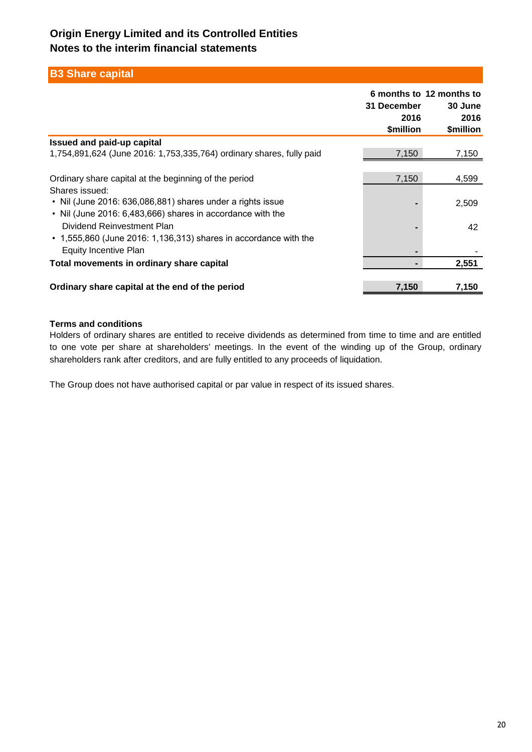## **B3 Share capital**

|                                                                                                                                                                                                                                                                                                             | 31 December<br>2016<br>\$million | 6 months to 12 months to<br>30 June<br>2016<br>\$million |
|-------------------------------------------------------------------------------------------------------------------------------------------------------------------------------------------------------------------------------------------------------------------------------------------------------------|----------------------------------|----------------------------------------------------------|
| <b>Issued and paid-up capital</b>                                                                                                                                                                                                                                                                           |                                  |                                                          |
| 1,754,891,624 (June 2016: 1,753,335,764) ordinary shares, fully paid                                                                                                                                                                                                                                        | 7,150                            | 7,150                                                    |
| Ordinary share capital at the beginning of the period<br>Shares issued:<br>• Nil (June 2016: 636,086,881) shares under a rights issue<br>• Nil (June 2016: 6,483,666) shares in accordance with the<br>Dividend Reinvestment Plan<br>$\cdot$ 1,555,860 (June 2016: 1,136,313) shares in accordance with the | 7,150                            | 4,599<br>2,509<br>42                                     |
| <b>Equity Incentive Plan</b>                                                                                                                                                                                                                                                                                |                                  |                                                          |
| Total movements in ordinary share capital                                                                                                                                                                                                                                                                   |                                  | 2,551                                                    |
| Ordinary share capital at the end of the period                                                                                                                                                                                                                                                             | 7,150                            | 7,150                                                    |

### **Terms and conditions**

Holders of ordinary shares are entitled to receive dividends as determined from time to time and are entitled to one vote per share at shareholders' meetings. In the event of the winding up of the Group, ordinary shareholders rank after creditors, and are fully entitled to any proceeds of liquidation.

The Group does not have authorised capital or par value in respect of its issued shares.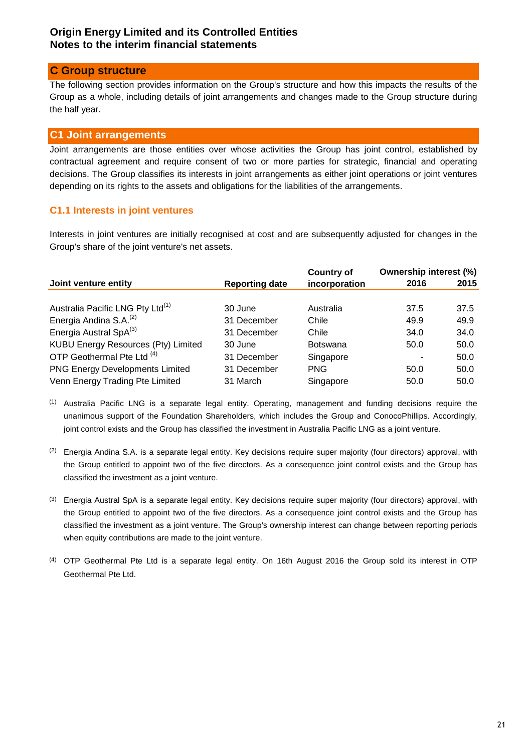## **C Group structure**

The following section provides information on the Group's structure and how this impacts the results of the Group as a whole, including details of joint arrangements and changes made to the Group structure during the half year.

## **C1 Joint arrangements**

Joint arrangements are those entities over whose activities the Group has joint control, established by contractual agreement and require consent of two or more parties for strategic, financial and operating decisions. The Group classifies its interests in joint arrangements as either joint operations or joint ventures depending on its rights to the assets and obligations for the liabilities of the arrangements.

## **C1.1 Interests in joint ventures**

Interests in joint ventures are initially recognised at cost and are subsequently adjusted for changes in the Group's share of the joint venture's net assets.

|                                              |                       | <b>Country of</b> | <b>Ownership interest (%)</b> |      |
|----------------------------------------------|-----------------------|-------------------|-------------------------------|------|
| Joint venture entity                         | <b>Reporting date</b> | incorporation     | 2016                          | 2015 |
|                                              |                       |                   |                               |      |
| Australia Pacific LNG Pty Ltd <sup>(1)</sup> | 30 June               | Australia         | 37.5                          | 37.5 |
| Energia Andina S.A. <sup>(2)</sup>           | 31 December           | Chile             | 49.9                          | 49.9 |
| Energia Austral SpA <sup>(3)</sup>           | 31 December           | Chile             | 34.0                          | 34.0 |
| KUBU Energy Resources (Pty) Limited          | 30 June               | <b>Botswana</b>   | 50.0                          | 50.0 |
| OTP Geothermal Pte Ltd <sup>(4)</sup>        | 31 December           | Singapore         |                               | 50.0 |
| <b>PNG Energy Developments Limited</b>       | 31 December           | <b>PNG</b>        | 50.0                          | 50.0 |
| Venn Energy Trading Pte Limited              | 31 March              | Singapore         | 50.0                          | 50.0 |

<sup>(1)</sup> Australia Pacific LNG is a separate legal entity. Operating, management and funding decisions require the unanimous support of the Foundation Shareholders, which includes the Group and ConocoPhillips. Accordingly, joint control exists and the Group has classified the investment in Australia Pacific LNG as a joint venture.

- $(2)$  Energia Andina S.A. is a separate legal entity. Key decisions require super majority (four directors) approval, with the Group entitled to appoint two of the five directors. As a consequence joint control exists and the Group has classified the investment as a joint venture.
- <sup>(3)</sup> Energia Austral SpA is a separate legal entity. Key decisions require super majority (four directors) approval, with the Group entitled to appoint two of the five directors. As a consequence joint control exists and the Group has classified the investment as a joint venture. The Group's ownership interest can change between reporting periods when equity contributions are made to the joint venture.
- (4) OTP Geothermal Pte Ltd is a separate legal entity. On 16th August 2016 the Group sold its interest in OTP Geothermal Pte Ltd.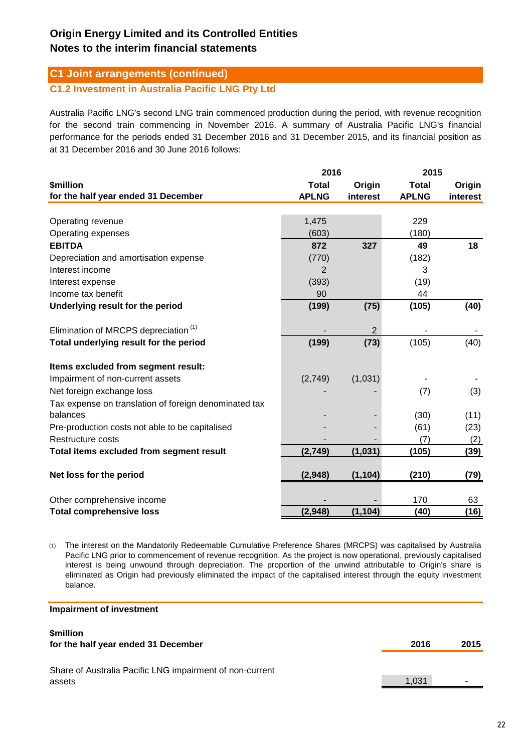## **C1 Joint arrangements (continued)**

**C1.2 Investment in Australia Pacific LNG Pty Ltd**

Australia Pacific LNG's second LNG train commenced production during the period, with revenue recognition for the second train commencing in November 2016. A summary of Australia Pacific LNG's financial performance for the periods ended 31 December 2016 and 31 December 2015, and its financial position as at 31 December 2016 and 30 June 2016 follows:

|                                                       | 2016         |                | 2015         |          |
|-------------------------------------------------------|--------------|----------------|--------------|----------|
| \$million                                             | <b>Total</b> | Origin         | <b>Total</b> | Origin   |
| for the half year ended 31 December                   | <b>APLNG</b> | interest       | <b>APLNG</b> | interest |
|                                                       |              |                |              |          |
| Operating revenue                                     | 1,475        |                | 229          |          |
| Operating expenses                                    | (603)        |                | (180)        |          |
| <b>EBITDA</b>                                         | 872          | 327            | 49           | 18       |
| Depreciation and amortisation expense                 | (770)        |                | (182)        |          |
| Interest income                                       | 2            |                | 3            |          |
| Interest expense                                      | (393)        |                | (19)         |          |
| Income tax benefit                                    | 90           |                | 44           |          |
| Underlying result for the period                      | (199)        | (75)           | (105)        | (40)     |
| Elimination of MRCPS depreciation <sup>(1)</sup>      |              | $\overline{2}$ |              |          |
| Total underlying result for the period                | (199)        | (73)           | (105)        | (40)     |
| Items excluded from segment result:                   |              |                |              |          |
| Impairment of non-current assets                      | (2,749)      | (1,031)        |              |          |
| Net foreign exchange loss                             |              |                | (7)          | (3)      |
| Tax expense on translation of foreign denominated tax |              |                |              |          |
| balances                                              |              |                | (30)         | (11)     |
| Pre-production costs not able to be capitalised       |              |                | (61)         | (23)     |
| Restructure costs                                     |              |                | (7)          | (2)      |
| Total items excluded from segment result              | (2,749)      | (1,031)        | (105)        | (39)     |
|                                                       |              |                |              |          |
| Net loss for the period                               | (2,948)      | (1, 104)       | (210)        | (79)     |
| Other comprehensive income                            |              |                | 170          | 63       |
| <b>Total comprehensive loss</b>                       | (2,948)      | (1, 104)       | (40)         | (16)     |

(1) The interest on the Mandatorily Redeemable Cumulative Preference Shares (MRCPS) was capitalised by Australia Pacific LNG prior to commencement of revenue recognition. As the project is now operational, previously capitalised interest is being unwound through depreciation. The proportion of the unwind attributable to Origin's share is eliminated as Origin had previously eliminated the impact of the capitalised interest through the equity investment balance.

#### **Impairment of investment**

#### **\$million 2016 2015** 1,031 **for the half year ended 31 December** Share of Australia Pacific LNG impairment of non-current assets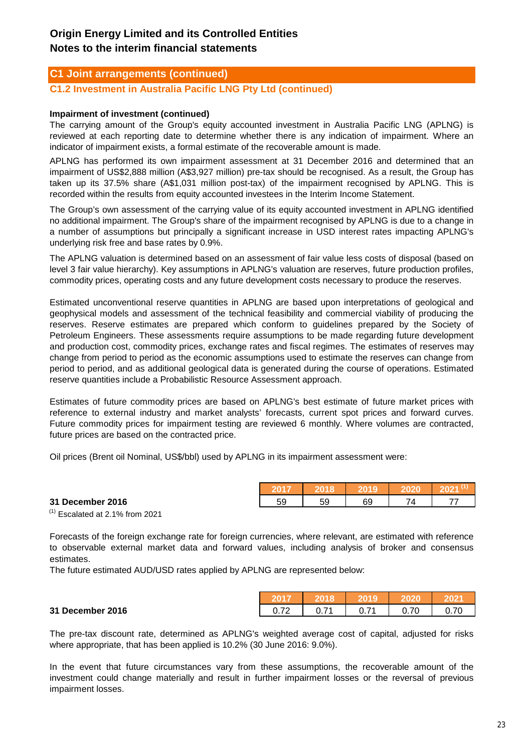## **C1 Joint arrangements (continued)**

**C1.2 Investment in Australia Pacific LNG Pty Ltd (continued)**

### **Impairment of investment (continued)**

The carrying amount of the Group's equity accounted investment in Australia Pacific LNG (APLNG) is reviewed at each reporting date to determine whether there is any indication of impairment. Where an indicator of impairment exists, a formal estimate of the recoverable amount is made.

APLNG has performed its own impairment assessment at 31 December 2016 and determined that an impairment of US\$2,888 million (A\$3,927 million) pre-tax should be recognised. As a result, the Group has taken up its 37.5% share (A\$1,031 million post-tax) of the impairment recognised by APLNG. This is recorded within the results from equity accounted investees in the Interim Income Statement.

The Group's own assessment of the carrying value of its equity accounted investment in APLNG identified no additional impairment. The Group's share of the impairment recognised by APLNG is due to a change in a number of assumptions but principally a significant increase in USD interest rates impacting APLNG's underlying risk free and base rates by 0.9%.

The APLNG valuation is determined based on an assessment of fair value less costs of disposal (based on level 3 fair value hierarchy). Key assumptions in APLNG's valuation are reserves, future production profiles, commodity prices, operating costs and any future development costs necessary to produce the reserves.

Estimated unconventional reserve quantities in APLNG are based upon interpretations of geological and geophysical models and assessment of the technical feasibility and commercial viability of producing the reserves. Reserve estimates are prepared which conform to guidelines prepared by the Society of Petroleum Engineers. These assessments require assumptions to be made regarding future development and production cost, commodity prices, exchange rates and fiscal regimes. The estimates of reserves may change from period to period as the economic assumptions used to estimate the reserves can change from period to period, and as additional geological data is generated during the course of operations. Estimated reserve quantities include a Probabilistic Resource Assessment approach.

Estimates of future commodity prices are based on APLNG's best estimate of future market prices with reference to external industry and market analysts' forecasts, current spot prices and forward curves. Future commodity prices for impairment testing are reviewed 6 monthly. Where volumes are contracted, future prices are based on the contracted price.

Oil prices (Brent oil Nominal, US\$/bbl) used by APLNG in its impairment assessment were:

#### **31 December 2016 10 April 10 April 10 April 10 59 10 59 10 69 10 74 10 77**

**31 December 2016** 0.72 0.71 0.71 0.70 0.70

 $(1)$  Escalated at 2.1% from 2021

Forecasts of the foreign exchange rate for foreign currencies, where relevant, are estimated with reference to observable external market data and forward values, including analysis of broker and consensus estimates.

The future estimated AUD/USD rates applied by APLNG are represented below:

| - 70 | 74 | .70 | 70 |
|------|----|-----|----|

**2017 2018 2019 2020 2021 (1)**

The pre-tax discount rate, determined as APLNG's weighted average cost of capital, adjusted for risks where appropriate, that has been applied is 10.2% (30 June 2016: 9.0%).

In the event that future circumstances vary from these assumptions, the recoverable amount of the investment could change materially and result in further impairment losses or the reversal of previous impairment losses.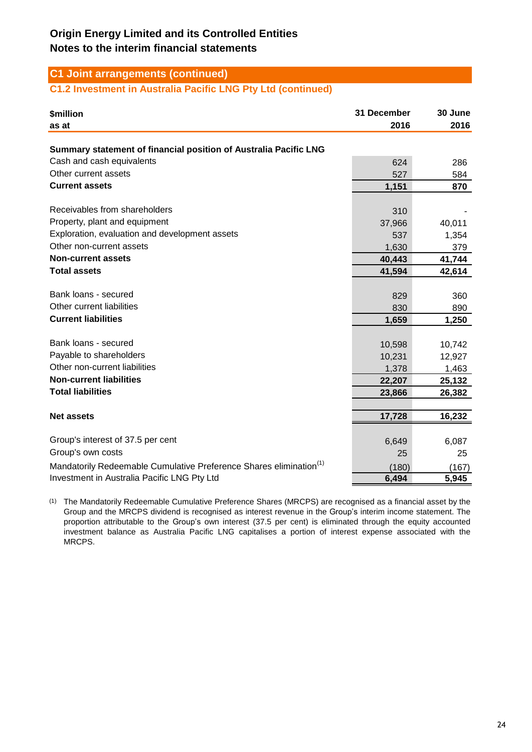## **C1 Joint arrangements (continued)**

## **C1.2 Investment in Australia Pacific LNG Pty Ltd (continued)**

| <b>\$million</b><br>as at                                                      | 31 December<br>2016 | 30 June<br>2016 |
|--------------------------------------------------------------------------------|---------------------|-----------------|
| Summary statement of financial position of Australia Pacific LNG               |                     |                 |
| Cash and cash equivalents                                                      | 624                 | 286             |
| Other current assets                                                           | 527                 | 584             |
| <b>Current assets</b>                                                          | 1,151               | 870             |
|                                                                                |                     |                 |
| Receivables from shareholders                                                  | 310                 |                 |
| Property, plant and equipment                                                  | 37,966              | 40,011          |
| Exploration, evaluation and development assets                                 | 537                 | 1,354           |
| Other non-current assets                                                       | 1,630               | 379             |
| <b>Non-current assets</b>                                                      | 40,443              | 41,744          |
| <b>Total assets</b>                                                            | 41,594              | 42,614          |
|                                                                                |                     |                 |
| Bank loans - secured                                                           | 829                 | 360             |
| Other current liabilities                                                      | 830                 | 890             |
| <b>Current liabilities</b>                                                     | 1,659               | 1,250           |
|                                                                                |                     |                 |
| Bank loans - secured                                                           | 10,598              | 10,742          |
| Payable to shareholders                                                        | 10,231              | 12,927          |
| Other non-current liabilities                                                  | 1,378               | 1,463           |
| <b>Non-current liabilities</b>                                                 | 22,207              | 25,132          |
| <b>Total liabilities</b>                                                       | 23,866              | 26,382          |
|                                                                                |                     |                 |
| <b>Net assets</b>                                                              | 17,728              | 16,232          |
|                                                                                |                     |                 |
| Group's interest of 37.5 per cent                                              | 6,649               | 6,087           |
| Group's own costs                                                              | 25                  | 25              |
| Mandatorily Redeemable Cumulative Preference Shares elimination <sup>(1)</sup> | (180)               | (167)           |
| Investment in Australia Pacific LNG Pty Ltd                                    | 6,494               | 5,945           |

(1) The Mandatorily Redeemable Cumulative Preference Shares (MRCPS) are recognised as a financial asset by the Group and the MRCPS dividend is recognised as interest revenue in the Group's interim income statement. The proportion attributable to the Group's own interest (37.5 per cent) is eliminated through the equity accounted investment balance as Australia Pacific LNG capitalises a portion of interest expense associated with the MRCPS.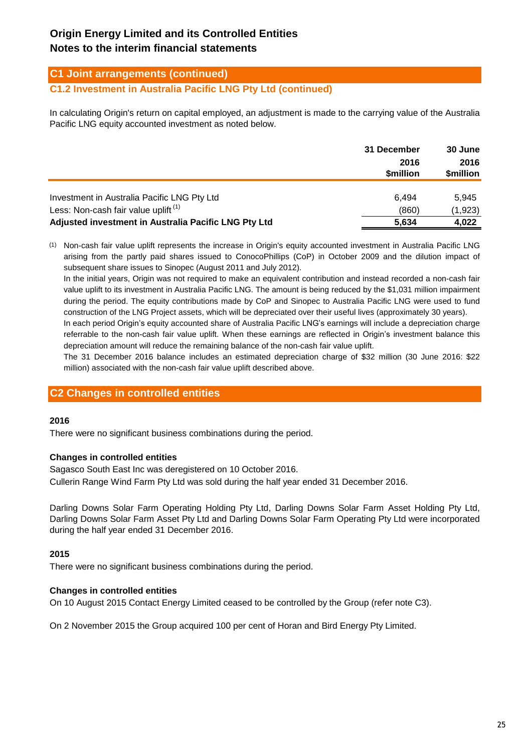## **C1 Joint arrangements (continued)**

### **C1.2 Investment in Australia Pacific LNG Pty Ltd (continued)**

In calculating Origin's return on capital employed, an adjustment is made to the carrying value of the Australia Pacific LNG equity accounted investment as noted below.

|                                                      | 31 December       | <b>30 June</b>    |  |
|------------------------------------------------------|-------------------|-------------------|--|
|                                                      | 2016<br>\$million | 2016<br>\$million |  |
|                                                      |                   |                   |  |
| Investment in Australia Pacific LNG Pty Ltd          | 6.494             | 5.945             |  |
| Less: Non-cash fair value uplift <sup>(1)</sup>      | (860)             | (1,923)           |  |
| Adjusted investment in Australia Pacific LNG Pty Ltd | 5,634             | 4,022             |  |

(1) Non-cash fair value uplift represents the increase in Origin's equity accounted investment in Australia Pacific LNG arising from the partly paid shares issued to ConocoPhillips (CoP) in October 2009 and the dilution impact of subsequent share issues to Sinopec (August 2011 and July 2012).

In the initial years, Origin was not required to make an equivalent contribution and instead recorded a non-cash fair value uplift to its investment in Australia Pacific LNG. The amount is being reduced by the \$1,031 million impairment during the period. The equity contributions made by CoP and Sinopec to Australia Pacific LNG were used to fund construction of the LNG Project assets, which will be depreciated over their useful lives (approximately 30 years).

In each period Origin's equity accounted share of Australia Pacific LNG's earnings will include a depreciation charge referrable to the non-cash fair value uplift. When these earnings are reflected in Origin's investment balance this depreciation amount will reduce the remaining balance of the non-cash fair value uplift.

The 31 December 2016 balance includes an estimated depreciation charge of \$32 million (30 June 2016: \$22 million) associated with the non-cash fair value uplift described above.

### **C2 Changes in controlled entities**

#### **2016**

There were no significant business combinations during the period.

#### **Changes in controlled entities**

Sagasco South East Inc was deregistered on 10 October 2016. Cullerin Range Wind Farm Pty Ltd was sold during the half year ended 31 December 2016.

Darling Downs Solar Farm Operating Holding Pty Ltd, Darling Downs Solar Farm Asset Holding Pty Ltd, Darling Downs Solar Farm Asset Pty Ltd and Darling Downs Solar Farm Operating Pty Ltd were incorporated during the half year ended 31 December 2016.

### **2015**

There were no significant business combinations during the period.

#### **Changes in controlled entities**

On 10 August 2015 Contact Energy Limited ceased to be controlled by the Group (refer note C3).

On 2 November 2015 the Group acquired 100 per cent of Horan and Bird Energy Pty Limited.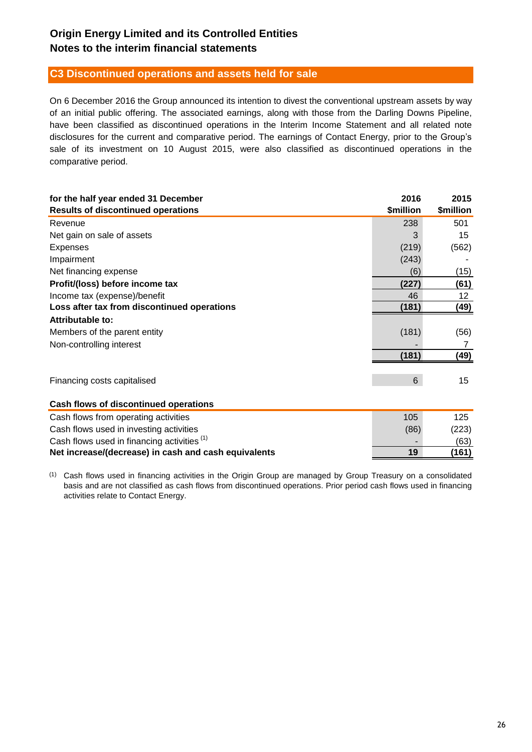## **C3 Discontinued operations and assets held for sale**

On 6 December 2016 the Group announced its intention to divest the conventional upstream assets by way of an initial public offering. The associated earnings, along with those from the Darling Downs Pipeline, have been classified as discontinued operations in the Interim Income Statement and all related note disclosures for the current and comparative period. The earnings of Contact Energy, prior to the Group's sale of its investment on 10 August 2015, were also classified as discontinued operations in the comparative period.

| for the half year ended 31 December                  | 2016           | 2015      |
|------------------------------------------------------|----------------|-----------|
| <b>Results of discontinued operations</b>            | \$million      | \$million |
| Revenue                                              | 238            | 501       |
| Net gain on sale of assets                           | 3              | 15        |
| <b>Expenses</b>                                      | (219)          | (562)     |
| Impairment                                           | (243)          |           |
| Net financing expense                                | (6)            | (15)      |
| Profit/(loss) before income tax                      | (227)          | (61)      |
| Income tax (expense)/benefit                         | 46             | 12        |
| Loss after tax from discontinued operations          | (181)          | (49)      |
| Attributable to:                                     |                |           |
| Members of the parent entity                         | (181)          | (56)      |
| Non-controlling interest                             |                | 7         |
|                                                      | (181)          | (49)      |
| Financing costs capitalised                          | $6\phantom{1}$ | 15        |
| Cash flows of discontinued operations                |                |           |
| Cash flows from operating activities                 | 105            | 125       |
| Cash flows used in investing activities              | (86)           | (223)     |
| Cash flows used in financing activities (1)          |                | (63)      |
| Net increase/(decrease) in cash and cash equivalents | 19             | (161)     |

 $(1)$  Cash flows used in financing activities in the Origin Group are managed by Group Treasury on a consolidated basis and are not classified as cash flows from discontinued operations. Prior period cash flows used in financing activities relate to Contact Energy.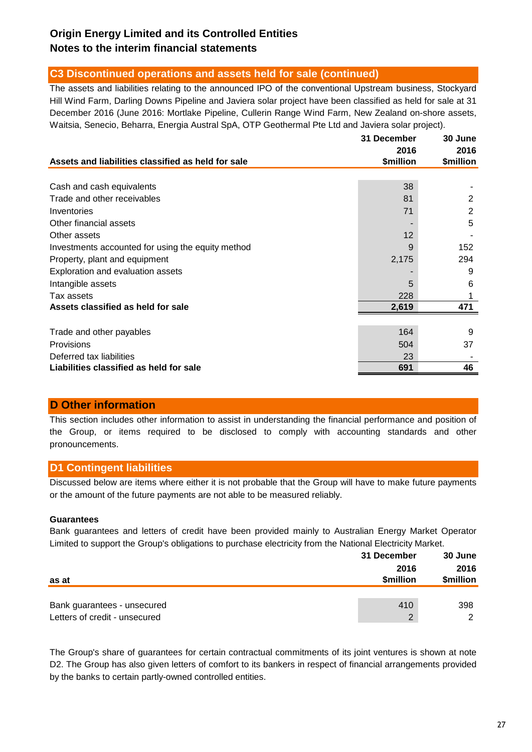## **C3 Discontinued operations and assets held for sale (continued)**

The assets and liabilities relating to the announced IPO of the conventional Upstream business, Stockyard Hill Wind Farm, Darling Downs Pipeline and Javiera solar project have been classified as held for sale at 31 December 2016 (June 2016: Mortlake Pipeline, Cullerin Range Wind Farm, New Zealand on-shore assets, Waitsia, Senecio, Beharra, Energia Austral SpA, OTP Geothermal Pte Ltd and Javiera solar project).

|                                                    | 31 December       | 30 June           |
|----------------------------------------------------|-------------------|-------------------|
| Assets and liabilities classified as held for sale | 2016<br>\$million | 2016<br>\$million |
|                                                    |                   |                   |
| Cash and cash equivalents                          | 38                |                   |
| Trade and other receivables                        | 81                | 2                 |
| Inventories                                        | 71                | 2                 |
| Other financial assets                             |                   | 5                 |
| Other assets                                       | 12                |                   |
| Investments accounted for using the equity method  | 9                 | 152               |
| Property, plant and equipment                      | 2,175             | 294               |
| Exploration and evaluation assets                  |                   | 9                 |
| Intangible assets                                  | 5                 | 6                 |
| Tax assets                                         | 228               |                   |
| Assets classified as held for sale                 | 2,619             | 471               |
|                                                    |                   |                   |
| Trade and other payables                           | 164               | 9                 |
| Provisions                                         | 504               | 37                |
| Deferred tax liabilities                           | 23                |                   |
| Liabilities classified as held for sale            | 691               | 46                |

### **D Other information**

This section includes other information to assist in understanding the financial performance and position of the Group, or items required to be disclosed to comply with accounting standards and other pronouncements.

## **D1 Contingent liabilities**

Discussed below are items where either it is not probable that the Group will have to make future payments or the amount of the future payments are not able to be measured reliably.

### **Guarantees**

Bank guarantees and letters of credit have been provided mainly to Australian Energy Market Operator Limited to support the Group's obligations to purchase electricity from the National Electricity Market.

|                                                              | 31 December       | 30 June           |
|--------------------------------------------------------------|-------------------|-------------------|
| as at                                                        | 2016<br>\$million | 2016<br>\$million |
| Bank guarantees - unsecured<br>Letters of credit - unsecured | 410<br>2          | 398<br>ົ          |

The Group's share of guarantees for certain contractual commitments of its joint ventures is shown at note D2. The Group has also given letters of comfort to its bankers in respect of financial arrangements provided by the banks to certain partly-owned controlled entities.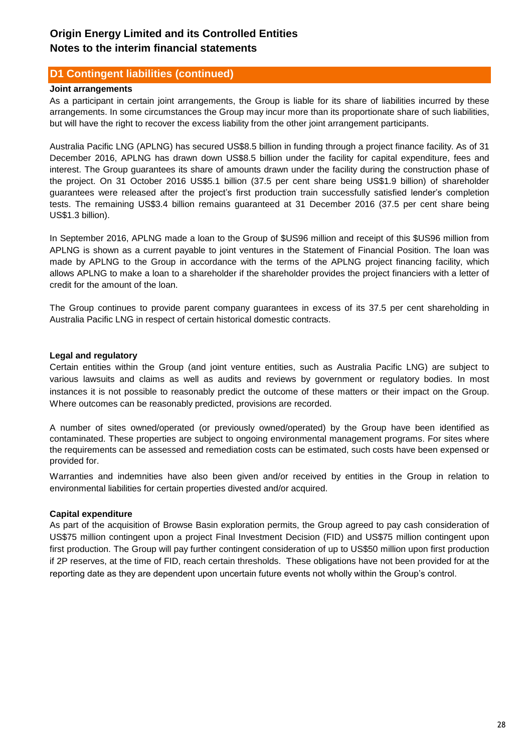## **D1 Contingent liabilities (continued)**

### **Joint arrangements**

As a participant in certain joint arrangements, the Group is liable for its share of liabilities incurred by these arrangements. In some circumstances the Group may incur more than its proportionate share of such liabilities, but will have the right to recover the excess liability from the other joint arrangement participants.

Australia Pacific LNG (APLNG) has secured US\$8.5 billion in funding through a project finance facility. As of 31 December 2016, APLNG has drawn down US\$8.5 billion under the facility for capital expenditure, fees and interest. The Group guarantees its share of amounts drawn under the facility during the construction phase of the project. On 31 October 2016 US\$5.1 billion (37.5 per cent share being US\$1.9 billion) of shareholder guarantees were released after the project's first production train successfully satisfied lender's completion tests. The remaining US\$3.4 billion remains guaranteed at 31 December 2016 (37.5 per cent share being US\$1.3 billion).

In September 2016, APLNG made a loan to the Group of \$US96 million and receipt of this \$US96 million from APLNG is shown as a current payable to joint ventures in the Statement of Financial Position. The loan was made by APLNG to the Group in accordance with the terms of the APLNG project financing facility, which allows APLNG to make a loan to a shareholder if the shareholder provides the project financiers with a letter of credit for the amount of the loan.

The Group continues to provide parent company guarantees in excess of its 37.5 per cent shareholding in Australia Pacific LNG in respect of certain historical domestic contracts.

### **Legal and regulatory**

Certain entities within the Group (and joint venture entities, such as Australia Pacific LNG) are subject to various lawsuits and claims as well as audits and reviews by government or regulatory bodies. In most instances it is not possible to reasonably predict the outcome of these matters or their impact on the Group. Where outcomes can be reasonably predicted, provisions are recorded.

A number of sites owned/operated (or previously owned/operated) by the Group have been identified as contaminated. These properties are subject to ongoing environmental management programs. For sites where the requirements can be assessed and remediation costs can be estimated, such costs have been expensed or provided for.

Warranties and indemnities have also been given and/or received by entities in the Group in relation to environmental liabilities for certain properties divested and/or acquired.

### **Capital expenditure**

As part of the acquisition of Browse Basin exploration permits, the Group agreed to pay cash consideration of US\$75 million contingent upon a project Final Investment Decision (FID) and US\$75 million contingent upon first production. The Group will pay further contingent consideration of up to US\$50 million upon first production if 2P reserves, at the time of FID, reach certain thresholds. These obligations have not been provided for at the reporting date as they are dependent upon uncertain future events not wholly within the Group's control.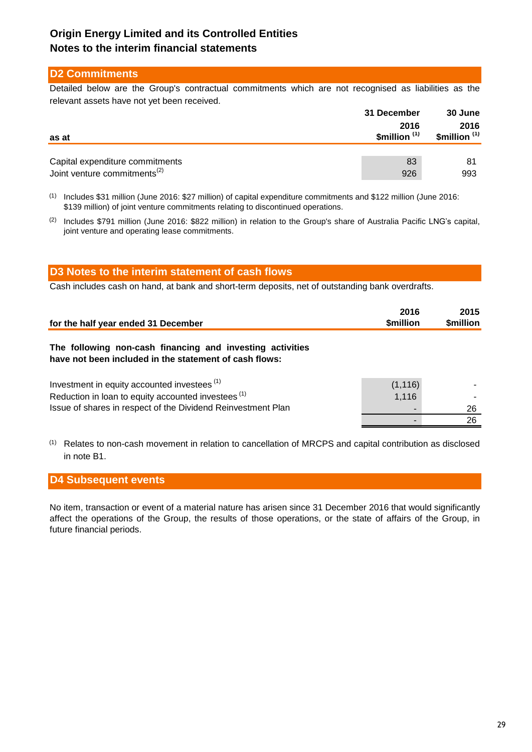## **D2 Commitments**

Detailed below are the Group's contractual commitments which are not recognised as liabilities as the relevant assets have not yet been received.

|                                          | 31 December                      | 30 June                          |  |
|------------------------------------------|----------------------------------|----------------------------------|--|
| as at                                    | 2016<br>\$million <sup>(1)</sup> | 2016<br>\$million <sup>(1)</sup> |  |
|                                          |                                  |                                  |  |
| Capital expenditure commitments          | 83                               | 81                               |  |
| Joint venture commitments <sup>(2)</sup> | 926                              | 993                              |  |

(1) Includes \$31 million (June 2016: \$27 million) of capital expenditure commitments and \$122 million (June 2016: \$139 million) of joint venture commitments relating to discontinued operations.

<sup>(2)</sup> Includes \$791 million (June 2016: \$822 million) in relation to the Group's share of Australia Pacific LNG's capital, joint venture and operating lease commitments.

| D3 Notes to the interim statement of cash flows                                                                     |                   |                   |
|---------------------------------------------------------------------------------------------------------------------|-------------------|-------------------|
| Cash includes cash on hand, at bank and short-term deposits, net of outstanding bank overdrafts.                    |                   |                   |
| for the half year ended 31 December                                                                                 | 2016<br>\$million | 2015<br>\$million |
| The following non-cash financing and investing activities<br>have not been included in the statement of cash flows: |                   |                   |

| Investment in equity accounted investees <sup>(1)</sup>        | (1, 116)                 | $\sim$ |
|----------------------------------------------------------------|--------------------------|--------|
| Reduction in loan to equity accounted investees <sup>(1)</sup> | 1.116                    |        |
| Issue of shares in respect of the Dividend Reinvestment Plan   | $\overline{\phantom{0}}$ | 26     |
|                                                                |                          | 26     |

(1) Relates to non-cash movement in relation to cancellation of MRCPS and capital contribution as disclosed in note B1.

### **D4 Subsequent events**

No item, transaction or event of a material nature has arisen since 31 December 2016 that would significantly affect the operations of the Group, the results of those operations, or the state of affairs of the Group, in future financial periods.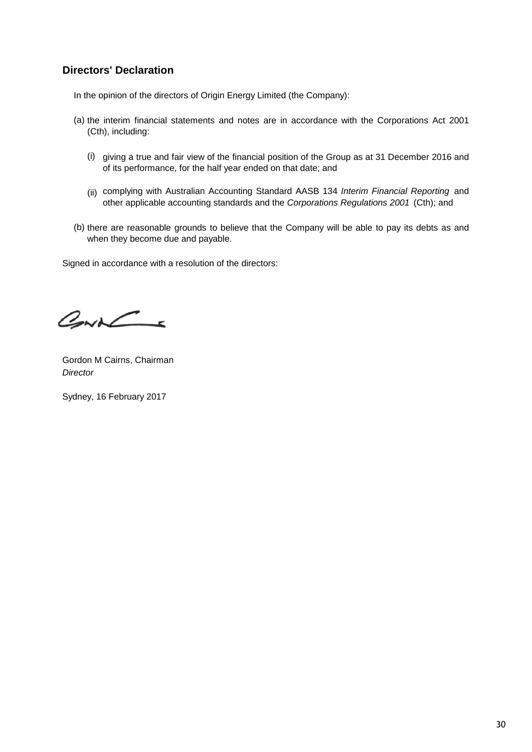## **Directors' Declaration**

In the opinion of the directors of Origin Energy Limited (the Company):

- (a) the interim financial statements and notes are in accordance with the Corporations Act 2001 (Cth), including:
	- (i) giving a true and fair view of the financial position of the Group as at 31 December 2016 and of its performance, for the half year ended on that date; and
	- (ii) complying with Australian Accounting Standard AASB 134 *Interim Financial Reporting* and other applicable accounting standards and the *Corporations Regulations 2001* (Cth); and
- (b) there are reasonable grounds to believe that the Company will be able to pay its debts as and when they become due and payable.

Signed in accordance with a resolution of the directors:

 $CovL$ 

Gordon M Cairns, Chairman *Director*

Sydney, 16 February 2017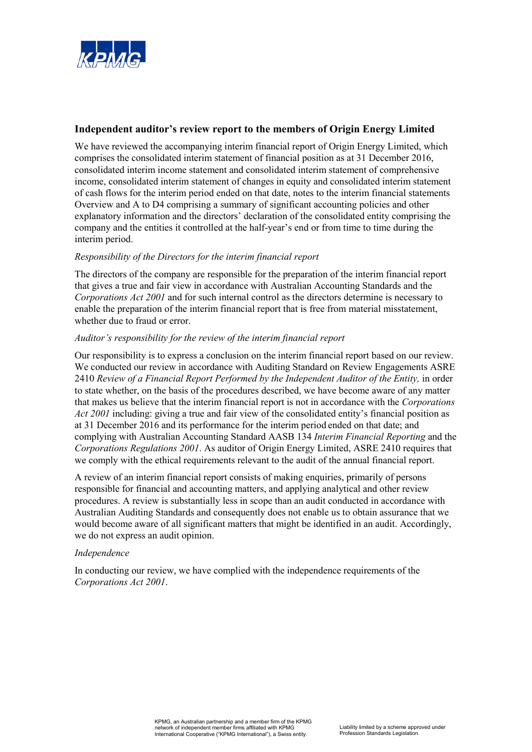

### **Independent auditor's review report to the members of Origin Energy Limited**

We have reviewed the accompanying interim financial report of Origin Energy Limited, which comprises the consolidated interim statement of financial position as at 31 December 2016, consolidated interim income statement and consolidated interim statement of comprehensive income, consolidated interim statement of changes in equity and consolidated interim statement of cash flows for the interim period ended on that date, notes to the interim financial statements Overview and A to D4 comprising a summary of significant accounting policies and other explanatory information and the directors' declaration of the consolidated entity comprising the company and the entities it controlled at the half-year's end or from time to time during the interim period.

### *Responsibility of the Directors for the interim financial report*

The directors of the company are responsible for the preparation of the interim financial report that gives a true and fair view in accordance with Australian Accounting Standards and the *Corporations Act 2001* and for such internal control as the directors determine is necessary to enable the preparation of the interim financial report that is free from material misstatement, whether due to fraud or error.

### *Auditor's responsibility for the review of the interim financial report*

Our responsibility is to express a conclusion on the interim financial report based on our review. We conducted our review in accordance with Auditing Standard on Review Engagements ASRE 2410 *Review of a Financial Report Performed by the Independent Auditor of the Entity,* in order to state whether, on the basis of the procedures described, we have become aware of any matter that makes us believe that the interim financial report is not in accordance with the *Corporations Act 2001* including: giving a true and fair view of the consolidated entity's financial position as at 31 December 2016 and its performance for the interim period ended on that date; and complying with Australian Accounting Standard AASB 134 *Interim Financial Reporting* and the *Corporations Regulations 2001*. As auditor of Origin Energy Limited, ASRE 2410 requires that we comply with the ethical requirements relevant to the audit of the annual financial report.

A review of an interim financial report consists of making enquiries, primarily of persons responsible for financial and accounting matters, and applying analytical and other review procedures. A review is substantially less in scope than an audit conducted in accordance with Australian Auditing Standards and consequently does not enable us to obtain assurance that we would become aware of all significant matters that might be identified in an audit. Accordingly, we do not express an audit opinion.

### *Independence*

In conducting our review, we have complied with the independence requirements of the *Corporations Act 2001*.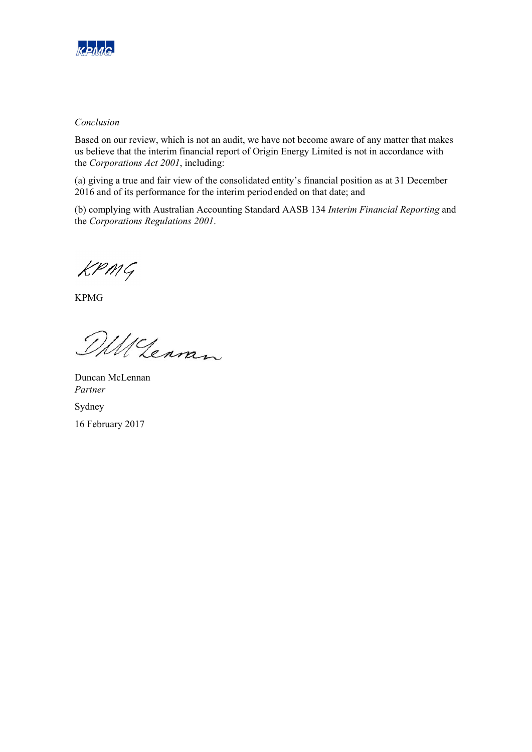

### *Conclusion*

Based on our review, which is not an audit, we have not become aware of any matter that makes us believe that the interim financial report of Origin Energy Limited is not in accordance with the *Corporations Act 2001*, including:

(a) giving a true and fair view of the consolidated entity's financial position as at 31 December 2016 and of its performance for the interim period ended on that date; and

(b) complying with Australian Accounting Standard AASB 134 *Interim Financial Reporting* and the *Corporations Regulations 2001*.

 $KPMG$ 

KPMG

DM Lennen

Duncan McLennan *Partner* 

Sydney 16 February 2017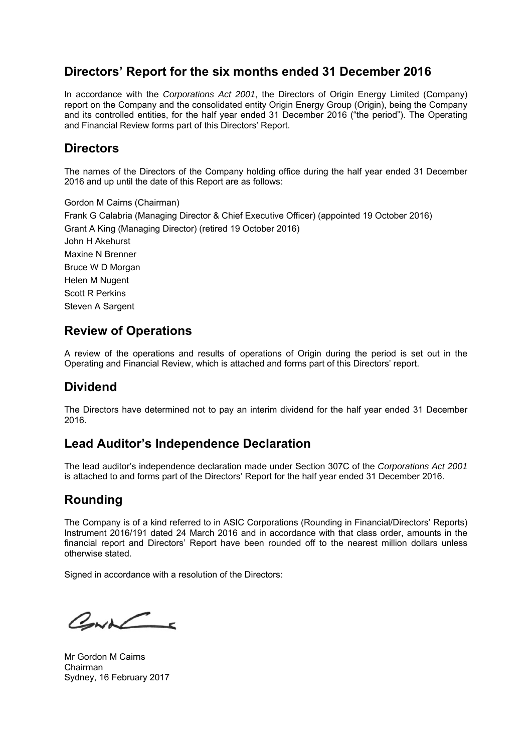# **Directors' Report for the six months ended 31 December 2016**

In accordance with the *Corporations Act 2001*, the Directors of Origin Energy Limited (Company) report on the Company and the consolidated entity Origin Energy Group (Origin), being the Company and its controlled entities, for the half year ended 31 December 2016 ("the period"). The Operating and Financial Review forms part of this Directors' Report.

# **Directors**

The names of the Directors of the Company holding office during the half year ended 31 December 2016 and up until the date of this Report are as follows:

Gordon M Cairns (Chairman) Frank G Calabria (Managing Director & Chief Executive Officer) (appointed 19 October 2016) Grant A King (Managing Director) (retired 19 October 2016) John H Akehurst Maxine N Brenner Bruce W D Morgan Helen M Nugent Scott R Perkins Steven A Sargent

# **Review of Operations**

A review of the operations and results of operations of Origin during the period is set out in the Operating and Financial Review, which is attached and forms part of this Directors' report.

# **Dividend**

The Directors have determined not to pay an interim dividend for the half year ended 31 December 2016.

# **Lead Auditor's Independence Declaration**

The lead auditor's independence declaration made under Section 307C of the *Corporations Act 2001* is attached to and forms part of the Directors' Report for the half year ended 31 December 2016.

# **Rounding**

The Company is of a kind referred to in ASIC Corporations (Rounding in Financial/Directors' Reports) Instrument 2016/191 dated 24 March 2016 and in accordance with that class order, amounts in the financial report and Directors' Report have been rounded off to the nearest million dollars unless otherwise stated.

Signed in accordance with a resolution of the Directors:

 $CovC$ 

Mr Gordon M Cairns Chairman Sydney, 16 February 2017